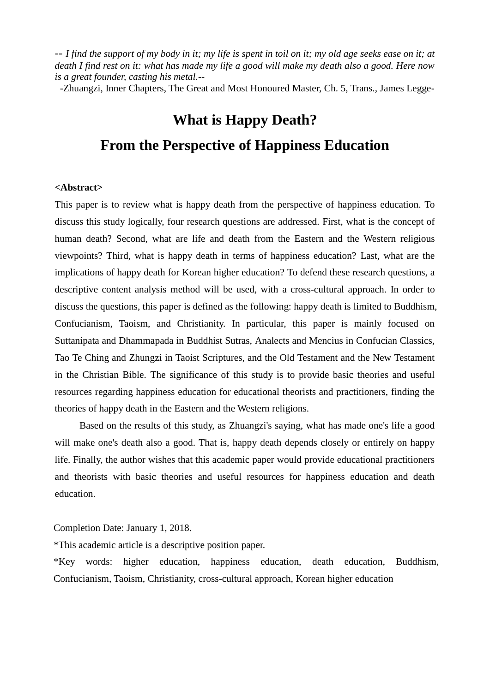*-- I find the support of my body in it; my life is spent in toil on it; my old age seeks ease on it; at death I find rest on it: what has made my life a good will make my death also a good. Here now is a great founder, casting his metal.--*

[-Zhuangzi,](http://ctext.org/zhuangzi) [Inner Chapters,](http://ctext.org/zhuangzi/inner-chapters) The Great and Most Honoured Master, Ch. 5, Trans., James Legge-

# **What is Happy Death?**

# **From the Perspective of Happiness Education**

### **<Abstract>**

This paper is to review what is happy death from the perspective of happiness education. To discuss this study logically, four research questions are addressed. First, what is the concept of human death? Second, what are life and death from the Eastern and the Western religious viewpoints? Third, what is happy death in terms of happiness education? Last, what are the implications of happy death for Korean higher education? To defend these research questions, a descriptive content analysis method will be used, with a cross-cultural approach. In order to discuss the questions, this paper is defined as the following: happy death is limited to Buddhism, Confucianism, Taoism, and Christianity. In particular, this paper is mainly focused on Suttanipata and Dhammapada in Buddhist Sutras, Analects and Mencius in Confucian Classics, Tao Te Ching and Zhungzi in Taoist Scriptures, and the Old Testament and the New Testament in the Christian Bible. The significance of this study is to provide basic theories and useful resources regarding happiness education for educational theorists and practitioners, finding the theories of happy death in the Eastern and the Western religions.

 Based on the results of this study, as [Zhuangzi's](http://ctext.org/zhuangzi) saying, what has made one's life a good will make one's death also a good. That is, happy death depends closely or entirely on happy life. Finally, the author wishes that this academic paper would provide educational practitioners and theorists with basic theories and useful resources for happiness education and death education.

Completion Date: January 1, 2018.

\*This academic article is a descriptive position paper.

\*Key words: higher education, happiness education, death education, Buddhism, Confucianism, Taoism, Christianity, cross-cultural approach, Korean higher education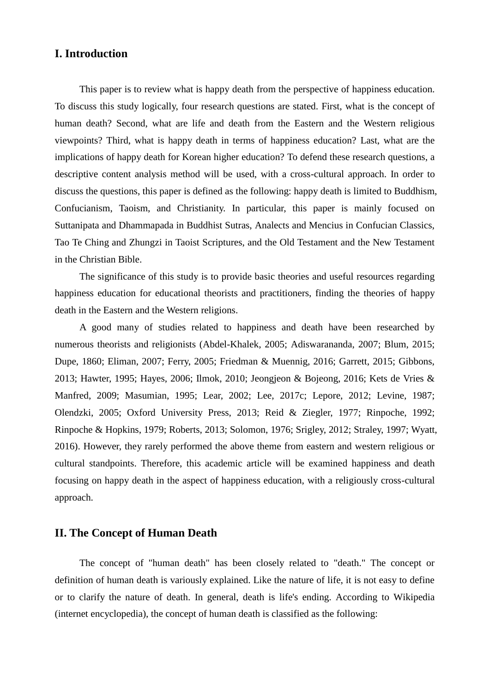## **I. Introduction**

This paper is to review what is happy death from the perspective of happiness education. To discuss this study logically, four research questions are stated. First, what is the concept of human death? Second, what are life and death from the Eastern and the Western religious viewpoints? Third, what is happy death in terms of happiness education? Last, what are the implications of happy death for Korean higher education? To defend these research questions, a descriptive content analysis method will be used, with a cross-cultural approach. In order to discuss the questions, this paper is defined as the following: happy death is limited to Buddhism, Confucianism, Taoism, and Christianity. In particular, this paper is mainly focused on Suttanipata and Dhammapada in Buddhist Sutras, Analects and Mencius in Confucian Classics, Tao Te Ching and Zhungzi in Taoist Scriptures, and the Old Testament and the New Testament in the Christian Bible.

The significance of this study is to provide basic theories and useful resources regarding happiness education for educational theorists and practitioners, finding the theories of happy death in the Eastern and the Western religions.

 A good many of studies related to happiness and death have been researched by numerous theorists and religionists (Abdel-Khalek, 2005; Adiswarananda, 2007; Blum, 2015; Dupe, 1860; Eliman, 2007; Ferry, 2005; Friedman & Muennig, 2016; Garrett, 2015; Gibbons, 2013; Hawter, 1995; Hayes, 2006; Ilmok, 2010; Jeongjeon & Bojeong, 2016; Kets de Vries & Manfred, 2009; Masumian, 1995; Lear, 2002; Lee, 2017c; Lepore, 2012; Levine, 1987; Olendzki, 2005; Oxford University Press, 2013; Reid & Ziegler, 1977; Rinpoche, 1992; Rinpoche & Hopkins, 1979; Roberts, 2013; Solomon, 1976; Srigley, 2012; Straley, 1997; Wyatt, 2016). However, they rarely performed the above theme from eastern and western religious or cultural standpoints. Therefore, this academic article will be examined happiness and death focusing on happy death in the aspect of happiness education, with a religiously cross-cultural approach.

## **II. The Concept of Human Death**

The concept of "human death" has been closely related to "death." The concept or definition of human death is variously explained. Like the nature of life, it is not easy to define or to clarify the nature of death. In general, death is life's ending. According to Wikipedia (internet encyclopedia), the concept of human death is classified as the following: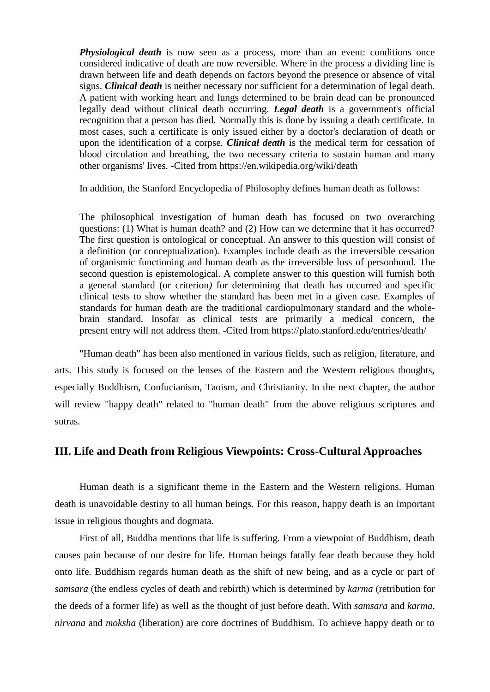*[Physiological](https://en.wikipedia.org/wiki/Physiological) death* is now seen as a process, more than an event: conditions once considered indicative of death are now reversible. Where in the process a dividing line is drawn between life and death depends on factors beyond the presence or absence of [vital](https://en.wikipedia.org/wiki/Vital_signs)  [signs.](https://en.wikipedia.org/wiki/Vital_signs) *[Clinical](https://en.wikipedia.org/wiki/Clinical_death) death* is neither necessary nor sufficient for a determination of [legal death.](https://en.wikipedia.org/wiki/Legal_death) A patient with working [heart](https://en.wikipedia.org/wiki/Human_heart) and [lungs](https://en.wikipedia.org/wiki/Human_lung) determined to be [brain dead](https://en.wikipedia.org/wiki/Brain_death) can be pronounced legally dead without clinical death occurring. *Legal death* is a government's official recognition that a person has died. Normally this is done by issuing a [death certificate.](https://en.wikipedia.org/wiki/Death_certificate) In most cases, such a certificate is only issued either by a doctor's declaration of death or upon the identification of a [corpse.](https://en.wikipedia.org/wiki/Corpse) *Clinical death* is the medical term for cessation of blood circulation and breathing, the two necessary criteria to sustain human and many other organisms' lives. -Cited from https://en.wikipedia.org/wiki/death

In addition, the [Stanford Encyclopedia of Philosophy](https://plato.stanford.edu/index.html) defines human death as follows:

The philosophical investigation of human death has focused on two overarching questions: (1) What is human death? and (2) How can we determine that it has occurred? The first question is ontological or conceptual. An answer to this question will consist of a definition (or conceptualization)*.* Examples include death as the irreversible cessation of organismic functioning and human death as the irreversible loss of personhood*.* The second question is epistemological. A complete answer to this question will furnish both a general standard (or criterion*)* for determining that death has occurred and specific clinical tests to show whether the standard has been met in a given case. Examples of standards for human death are the traditional cardiopulmonary standard and the wholebrain standard*.* Insofar as clinical tests are primarily a medical concern, the present entry will not address them. -Cited from https://plato.stanford.edu/entries/death/

"Human death" has been also mentioned in various fields, such as religion, literature, and arts. This study is focused on the lenses of the Eastern and the Western religious thoughts, especially Buddhism, Confucianism, Taoism, and Christianity. In the next chapter, the author will review "happy death" related to "human death" from the above religious scriptures and sutras.

# **III. Life and Death from Religious Viewpoints: Cross-Cultural Approaches**

Human death is a significant theme in the Eastern and the Western religions. Human death is unavoidable destiny to all human beings. For this reason, happy death is an important issue in religious thoughts and dogmata.

First of all, Buddha mentions that life is suffering. From a viewpoint of Buddhism, death causes pain because of our desire for life. Human beings fatally fear death because they hold onto life. Buddhism regards human death as the shift of new being, and as a cycle or part of *samsara* (the endless cycles of death and rebirth) which is determined by *karma* (retribution for the deeds of a former life) as well as the thought of just before death. With *samsara* and *karma*, *nirvana* and *moksha* (liberation) are core doctrines of Buddhism. To achieve happy death or to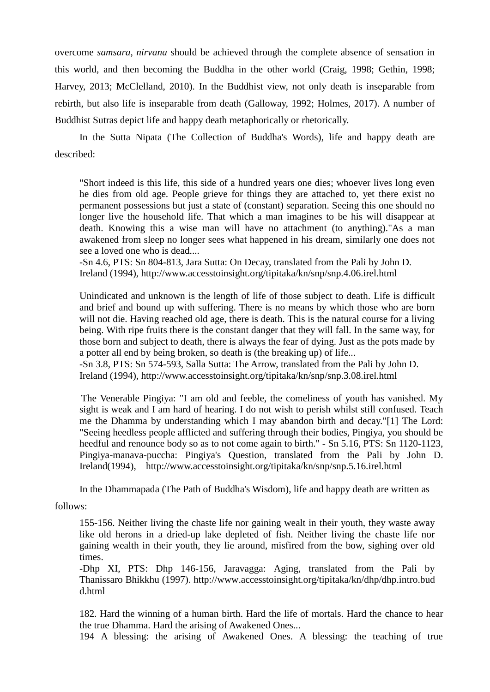overcome *samsara*, *nirvana* should be achieved through the complete absence of sensation in this world, and then becoming the Buddha in the other world (Craig, 1998; Gethin, 1998; Harvey, 2013; McClelland, 2010). In the Buddhist view, not only death is inseparable from rebirth, but also life is inseparable from death (Galloway, 1992; Holmes, 2017). A number of Buddhist Sutras depict life and happy death metaphorically or rhetorically.

In the Sutta Nipata (The Collection of Buddha's Words), life and happy death are described:

"Short indeed is this life, this side of a hundred years one dies; whoever lives long even he dies from old age. People grieve for things they are attached to, yet there exist no permanent possessions but just a state of (constant) separation. Seeing this one should no longer live the household life. That which a man imagines to be his will disappear at death. Knowing this a wise man will have no attachment (to anything)."As a man awakened from sleep no longer sees what happened in his dream, similarly one does not see a loved one who is dead....

-Sn 4.6, PTS: [Sn 804-813,](http://www.accesstoinsight.org/tipitaka/sltp/Sn_utf8.html#v.804) Jara Sutta: On Decay, translated from the Pali by John D. Ireland (1994), http://www.accesstoinsight.org/tipitaka/kn/snp/snp.4.06.irel.html

Unindicated and unknown is the length of life of those subject to death. Life is difficult and brief and bound up with suffering. There is no means by which those who are born will not die. Having reached old age, there is death. This is the natural course for a living being. With ripe fruits there is the constant danger that they will fall. In the same way, for those born and subject to death, there is always the fear of dying. Just as the pots made by a potter all end by being broken, so death is (the breaking up) of life...

-Sn 3.8, PTS: [Sn 574-593,](http://www.accesstoinsight.org/tipitaka/sltp/Sn_utf8.html#v.574) Salla Sutta: The Arrow, translated from the Pali by John D. Ireland (1994), http://www.accesstoinsight.org/tipitaka/kn/snp/snp.3.08.irel.html

 The Venerable Pingiya: "I am old and feeble, the comeliness of youth has vanished. My sight is weak and I am hard of hearing. I do not wish to perish whilst still confused. Teach me the Dhamma by understanding which I may abandon birth and decay.["\[1\]](http://www.accesstoinsight.org/tipitaka/kn/snp/snp.5.16.irel.html#fn-1) The Lord: "Seeing heedless people afflicted and suffering through their bodies, Pingiya, you should be heedful and renounce body so as to not come again to birth." - Sn 5.16, PTS: [Sn 1120-1123,](http://www.accesstoinsight.org/tipitaka/sltp/Sn_utf8.html#v.1120) Pingiya-manava-puccha: Pingiya's Question, translated from the Pali by John D. Ireland(1994), http://www.accesstoinsight.org/tipitaka/kn/snp/snp.5.16.irel.html

In the Dhammapada (The Path of Buddha's Wisdom), life and happy death are written as

#### follows:

155-156. Neither living the chaste life nor gaining wealt in their youth, they waste away like old herons in a dried-up lake depleted of fish. Neither living the chaste life nor gaining wealth in their youth, they lie around, misfired from the bow, sighing over old times.

-Dhp XI, PTS: [Dhp 146-156,](http://www.accesstoinsight.org/tipitaka/sltp/Dhp_utf8.html#v.146) Jaravagga: Aging, translated from the Pali by Thanissaro Bhikkhu [\(1997\)](http://www.accesstoinsight.org/tipitaka/kn/dhp/dhp.11.than.html#F_termsOfUse). [http://www.](http://www/)accesstoinsight.org/tipitaka/kn/dhp/dhp.intro.bud d.html

182. Hard the winning of a human birth. Hard the life of mortals. Hard the chance to hear the true Dhamma. Hard the arising of Awakened Ones...

194 A blessing: the arising of Awakened Ones. A blessing: the teaching of true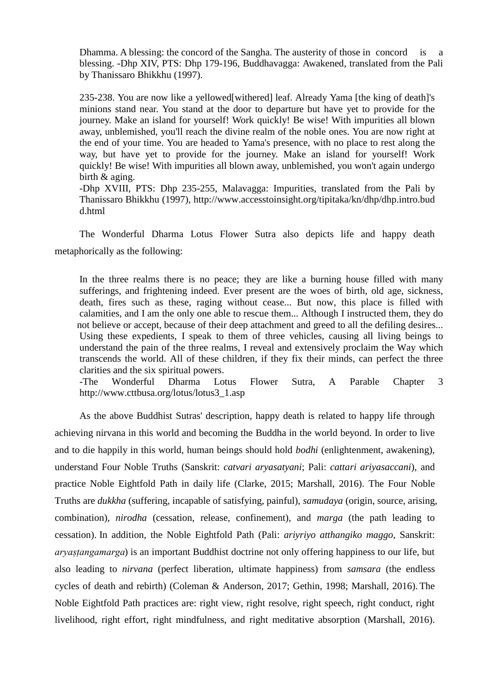Dhamma. A blessing: the concord of the Sangha. The austerity of those in concord is blessing. -Dhp XIV, PTS: [Dhp 179-196,](http://www.accesstoinsight.org/tipitaka/sltp/Dhp_utf8.html#v.179) Buddhavagga: Awakened, translated from the Pali by Thanissaro Bhikkhu (1997).

[235-238.](http://www.accesstoinsight.org/tipitaka/kn/dhp/dhp.intro.than.html#fn-235) You are now like a yellowed[withered] leaf. Already Yama [the king of death]'s minions stand near. You stand at the door to departure but have yet to provide for the journey. Make an island for yourself! Work quickly! Be wise! With impurities all blown away, unblemished, you'll reach the divine realm of the noble ones. You are now right at the end of your time. You are headed to Yama's presence, with no place to rest along the way, but have yet to provide for the journey. Make an island for yourself! Work quickly! Be wise! With impurities all blown away, unblemished, you won't again undergo birth & aging.

-Dhp XVIII, PTS: [Dhp 235-255,](http://www.accesstoinsight.org/tipitaka/sltp/Dhp_utf8.html#v.235) Malavagga: Impurities, translated from the Pali by Thanissaro Bhikkhu (1997), [http://www.](http://www/)accesstoinsight.org/tipitaka/kn/dhp/dhp.intro.bud d.html

The Wonderful Dharma Lotus Flower Sutra also depicts life and happy death metaphorically as the following:

In the three realms there is no peace; they are like a burning house filled with many sufferings, and frightening indeed. Ever present are the woes of birth, old age, sickness, death, fires such as these, raging without cease... But now, this place is filled with calamities, and I am the only one able to rescue them... Although I instructed them, they do not believe or accept, because of their deep attachment and greed to all the defiling desires... Using these expedients, I speak to them of three vehicles, causing all living beings to understand the pain of the three realms, I reveal and extensively proclaim the Way which transcends the world. All of these children, if they fix their minds, can perfect the three clarities and the six spiritual powers.

-The Wonderful Dharma Lotus Flower Sutra, A Parable Chapter 3 http://www.cttbusa.org/lotus/lotus3\_1.asp

 As the above Buddhist Sutras' description, happy death is related to happy life through achieving nirvana in this world and becoming the Buddha in the world beyond. In order to live and to die happily in this world, human beings should hold *bodhi* (enlightenment, awakening), understand Four Noble Truths [\(Sanskrit:](https://en.wikipedia.org/wiki/Sanskrit) *catvari aryasatyani*; [Pali:](https://en.wikipedia.org/wiki/Pali) *cattari ariyasaccani*), and practice Noble Eightfold Path in daily life (Clarke, 2015; Marshall, 2016). The Four Noble Truths are *dukkha* (suffering, incapable of satisfying, painful), *samudaya* (origin, source, arising, combination), *nirodha* (cessation, release, confinement), and *marga* (the path leading to cessation). In addition, the Noble Eightfold Path [\(Pali:](https://en.wikipedia.org/wiki/Pali_language) *ariyriyo atthangiko maggo*, [Sanskrit:](https://en.wikipedia.org/wiki/Sanskrit_language) *aryaṣṭangamarga*) is an important Buddhist doctrine not only offering happiness to our life, but also leading to *[nirvana](https://en.wikipedia.org/wiki/Moksha)* (perfect liberation, ultimate happiness) from *[samsara](https://en.wikipedia.org/wiki/Samsara)* (the endless cycles of death and rebirth) (Coleman & Anderson, 2017; Gethin, 1998; Marshall, 2016). The Noble Eightfold Path practices are: right view, right resolve, right speech, right conduct, right livelihood, right effort, right mindfulness, and right meditative absorption (Marshall, 2016).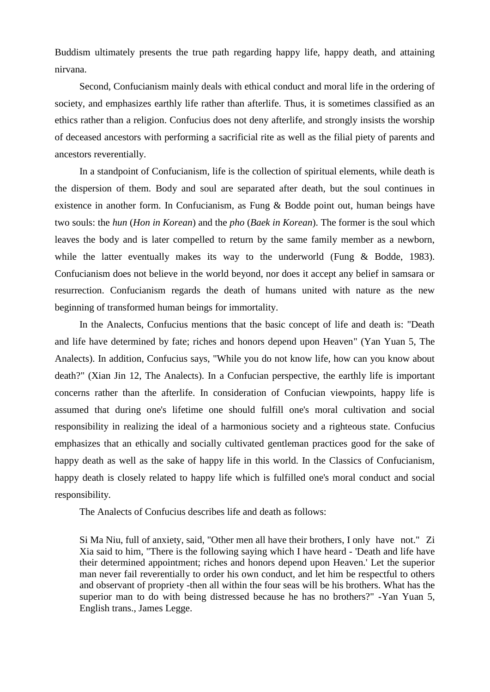Buddism ultimately presents the true path regarding happy life, happy death, and attaining nirvana.

Second, Confucianism mainly deals with ethical conduct and moral life in the ordering of society, and emphasizes earthly life rather than afterlife. Thus, it is sometimes classified as an ethics rather than a religion. Confucius does not deny afterlife, and strongly insists the worship of deceased ancestors with performing a sacrificial rite as well as the filial piety of parents and ancestors reverentially.

In a standpoint of Confucianism, life is the collection of spiritual elements, while death is the dispersion of them. Body and soul are separated after death, but the soul continues in existence in another form. In Confucianism, as Fung & Bodde point out, human beings have two souls: the *hun* (*Hon in Korean*) and the *pho* (*Baek in Korean*). The former is the soul which leaves the body and is later compelled to return by the same family member as a newborn, while the latter eventually makes its way to the underworld (Fung & Bodde, 1983). Confucianism does not believe in the world beyond, nor does it accept any belief in samsara or resurrection. Confucianism regards the death of humans united with nature as the new beginning of transformed human beings for immortality.

In the Analects, Confucius mentions that the basic concept of life and death is: "Death and life have determined by fate; riches and honors depend upon Heaven" (Yan Yuan 5, The Analects). In addition, Confucius says, "While you do not know life, how can you know about death?" (Xian Jin 12, [The Analects\)](http://ctext.org/analects). In a Confucian perspective, the earthly life is important concerns rather than the afterlife. In consideration of Confucian viewpoints, happy life is assumed that during one's lifetime one should fulfill one's moral cultivation and social responsibility in realizing the ideal of a harmonious society and a righteous state. Confucius emphasizes that an ethically and socially cultivated gentleman practices good for the sake of happy death as well as the sake of happy life in this world. In the Classics of Confucianism, happy death is closely related to happy life which is fulfilled one's moral conduct and social responsibility.

The Analects of Confucius describes life and death as follows:

Si Ma Niu, full of anxiety, said, "Other men all have their brothers, I only have not." Zi Xia said to him, "There is the following saying which I have heard - 'Death and life have their determined appointment; riches and honors depend upon Heaven.' Let the superior man never fail reverentially to order his own conduct, and let him be respectful to others and observant of propriety -then all within the four seas will be his brothers. What has the superior man to do with being distressed because he has no brothers?" -Yan Yuan 5, English trans., James Legge.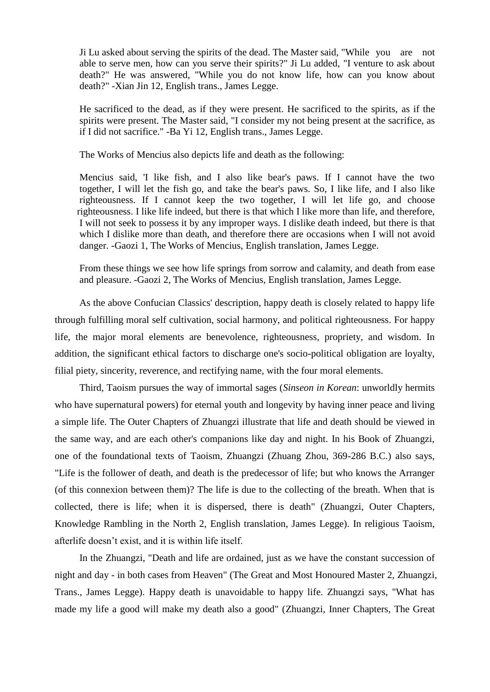Ji Lu asked about serving the spirits of the dead. The Master said, "While you are not able to serve men, how can you serve their spirits?" Ji Lu added, "I venture to ask about death?" He was answered, "While you do not know life, how can you know about death?" -Xian Jin 12, English trans., James Legge.

He sacrificed to the dead, as if they were present. He sacrificed to the spirits, as if the spirits were present. The Master said, "I consider my not being present at the sacrifice, as if I did not sacrifice." -Ba Yi 12, English trans., James Legge.

The Works of Mencius also depicts life and death as the following:

Mencius said, 'I like fish, and I also like bear's paws. If I cannot have the two together, I will let the fish go, and take the bear's paws. So, I like life, and I also like righteousness. If I cannot keep the two together, I will let life go, and choose righteousness. I like life indeed, but there is that which I like more than life, and therefore, I will not seek to possess it by any improper ways. I dislike death indeed, but there is that which I dislike more than death, and therefore there are occasions when I will not avoid danger. -Gaozi 1, The Works of Mencius, English translation, James Legge.

From these things we see how life springs from sorrow and calamity, and death from ease and pleasure. -Gaozi 2, The Works of Mencius, English translation, James Legge.

As the above Confucian Classics' description, happy death is closely related to happy life through fulfilling moral self cultivation, social harmony, and political righteousness. For happy life, the major moral elements are benevolence, righteousness, propriety, and wisdom. In addition, the significant ethical factors to discharge one's socio-political obligation are loyalty, filial piety, sincerity, reverence, and rectifying name, with the four moral elements.

Third, Taoism pursues the way of immortal sages (*Sinseon in Korean*: unworldly hermits who have supernatural powers) for eternal youth and longevity by having inner peace and living a simple life. The Outer Chapters of Zhuangzi illustrate that life and death should be viewed in the same way, and are each other's companions like day and night. In his Book of Zhuangzi, one of the foundational texts of Taoism, Zhuangzi (Zhuang Zhou, 369-286 B.C.) also says, "Life is the follower of death, and death is the predecessor of life; but who knows the Arranger (of this connexion between them)? The life is due to the collecting of the breath. When that is collected, there is life; when it is dispersed, there is death" [\(Zhuangzi,](http://ctext.org/zhuangzi) Outer Chapters, Knowledge Rambling in the North 2, English translation, James Legge). In religious Taoism, afterlife doesn't exist, and it is within life itself.

In the Zhuangzi, "Death and life are ordained, just as we have the constant succession of night and day - in both cases from Heaven" (The Great and Most Honoured Master 2, Zhuangzi, Trans., James Legge). Happy death is unavoidable to happy life. Zhuangzi says, "What has made my life a good will make my death also a good" [\(Zhuangzi,](http://ctext.org/zhuangzi) [Inner Chapters,](http://ctext.org/zhuangzi/inner-chapters) The Great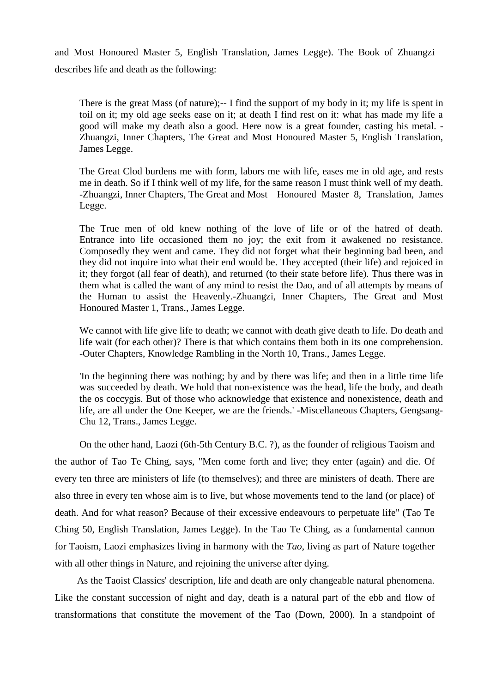and Most Honoured Master 5, English Translation, James Legge). The Book of Zhuangzi describes life and death as the following:

There is the great Mass (of nature);-- I find the support of my body in it; my life is spent in toil on it; my old age seeks ease on it; at death I find rest on it: what has made my life a good will make my death also a good. Here now is a great founder, casting his metal. - [Zhuangzi,](http://ctext.org/zhuangzi) [Inner Chapters,](http://ctext.org/zhuangzi/inner-chapters) The Great and Most Honoured Master 5, English Translation, James Legge.

The Great Clod burdens me with form, labors me with life, eases me in old age, and rests me in death. So if I think well of my life, for the same reason I must think well of my death. [-Zhuangzi,](http://ctext.org/zhuangzi) [Inner Chapters,](http://ctext.org/zhuangzi/inner-chapters) The Great and Most Honoured Master 8, Translation, James Legge.

The True men of old knew nothing of the love of life or of the hatred of death. Entrance into life occasioned them no joy; the exit from it awakened no resistance. Composedly they went and came. They did not forget what their beginning bad been, and they did not inquire into what their end would be. They accepted (their life) and rejoiced in it; they forgot (all fear of death), and returned (to their state before life). Thus there was in them what is called the want of any mind to resist the Dao, and of all attempts by means of the Human to assist the Heavenly.-Zhuangzi, Inner Chapters, The Great and Most Honoured Master 1, Trans., James Legge.

We cannot with life give life to death; we cannot with death give death to life. Do death and life wait (for each other)? There is that which contains them both in its one comprehension. -Outer Chapters, Knowledge Rambling in the North 10, Trans., James Legge.

'In the beginning there was nothing; by and by there was life; and then in a little time life was succeeded by death. We hold that non-existence was the head, life the body, and death the os coccygis. But of those who acknowledge that existence and nonexistence, death and life, are all under the One Keeper, we are the friends.' -Miscellaneous Chapters, Gengsang-Chu 12, Trans., James Legge.

On the other hand, Laozi (6th-5th Century B.C. ?), as the founder of religious Taoism and the author of Tao Te Ching, says, "Men come forth and live; they enter (again) and die. Of every ten three are ministers of life (to themselves); and three are ministers of death. There are also three in every ten whose aim is to live, but whose movements tend to the land (or place) of death. And for what reason? Because of their excessive endeavours to perpetuate life" (Tao Te Ching 50, English Translation, James Legge). In the Tao Te Ching, as a fundamental cannon for Taoism, Laozi emphasizes living in harmony with the *Tao*, living as part of Nature together with all other things in Nature, and rejoining the universe after dying.

As the Taoist Classics' description, life and death are only changeable natural phenomena. Like the constant succession of night and day, death is a natural part of the ebb and flow of transformations that constitute the movement of the Tao (Down, 2000). In a standpoint of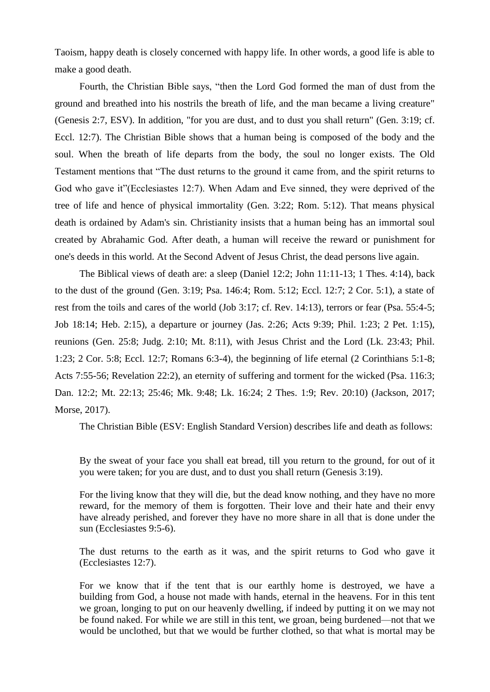Taoism, happy death is closely concerned with happy life. In other words, a good life is able to make a good death.

Fourth, the Christian Bible says, "then the Lord God formed the man of dust from the ground and breathed into his nostrils the breath of life, and the man became a living creature" (Genesis 2:7, ESV). In addition, "for you are dust, and to dust you shall return" (Gen. 3:19; cf. Eccl. 12:7). The Christian Bible shows that a human being is composed of the body and the soul. When the breath of life departs from the body, the soul no longer exists. The Old Testament mentions that "The dust returns to the ground it came from, and the spirit returns to God who gave it"(Ecclesiastes 12:7). When Adam and Eve sinned, they were deprived of the tree of life and hence of physical immortality (Gen. 3:22; Rom. 5:12). That means physical death is ordained by Adam's sin. Christianity insists that a human being has an immortal soul created by Abrahamic God. After death, a human will receive the reward or punishment for one's deeds in this world. At the Second Advent of Jesus Christ, the dead persons live again.

The Biblical views of death are: a sleep (Daniel 12:2; John 11:11-13; 1 Thes. 4:14), back to the dust of the ground (Gen. 3:19; Psa. 146:4; Rom. 5:12; Eccl. 12:7; 2 Cor. 5:1), a state of rest from the toils and cares of the world (Job 3:17; cf. Rev. 14:13), terrors or fear (Psa. 55:4-5; Job 18:14; Heb. 2:15), a departure or journey (Jas. 2:26; Acts 9:39; Phil. 1:23; 2 Pet. 1:15), reunions (Gen. 25:8; Judg. 2:10; Mt. 8:11), with Jesus Christ and the Lord (Lk. 23:43; Phil. 1:23; 2 Cor. 5:8; Eccl. 12:7; Romans 6:3-4), the beginning of life eternal (2 Corinthians 5:1-8; Acts 7:55-56; Revelation 22:2), an eternity of suffering and torment for the wicked (Psa. 116:3; Dan. 12:2; Mt. 22:13; 25:46; Mk. 9:48; Lk. 16:24; 2 Thes. 1:9; Rev. 20:10) (Jackson, 2017; Morse, 2017).

The Christian Bible (ESV: English Standard Version) describes life and death as follows:

By the sweat of your face you shall eat bread, till you return to the ground, for out of it you were taken; for you are dust, and to dust you shall return (Genesis 3:19).

For the living know that they will die, but the dead know nothing, and they have no more reward, for the memory of them is forgotten. Their love and their hate and their envy have already perished, and forever they have no more share in all that is done under the sun (Ecclesiastes 9:5-6).

The dust returns to the earth as it was, and the spirit returns to God who gave it (Ecclesiastes 12:7).

For we know that if the tent that is our earthly home is destroyed, we have a building from God, a house not made with hands, eternal in the heavens. For in this tent we groan, longing to put on our heavenly dwelling, if indeed by putting it on we may not be found naked. For while we are still in this tent, we groan, being burdened—not that we would be unclothed, but that we would be further clothed, so that what is mortal may be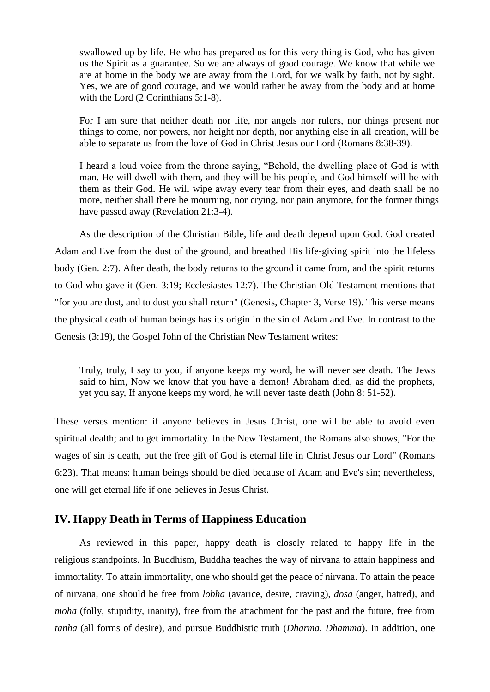swallowed up by life. He who has prepared us for this very thing is God, who has given us the Spirit as a guarantee. So we are always of good courage. We know that while we are at home in the body we are away from the Lord, for we walk by faith, not by sight. Yes, we are of good courage, and we would rather be away from the body and at home with the Lord [\(2 Corinthians 5:1-8\).](https://www.thoughtco.com/new-living-translation-nlt-700666)

For I am sure that neither death nor life, nor angels nor rulers, nor things present nor things to come, nor powers, nor height nor depth, nor anything else in all creation, will be able to separate us from the love of God in Christ Jesus our Lord (Romans 8:38-39).

I heard a loud voice from the throne saying, "Behold, the dwelling place of God is with man. He will dwell with them, and they will be his people, and God himself will be with them as their God. He will wipe away every tear from their eyes, and death shall be no more, neither shall there be mourning, nor crying, nor pain anymore, for the former things have passed away (Revelation 21:3-4).

As the description of the Christian Bible, life and death depend upon God. God created Adam and Eve from the dust of the ground, and breathed His life-giving spirit into the lifeless body (Gen. 2:7). After death, the body returns to the ground it came from, and the spirit returns to God who gave it (Gen. 3:19; Ecclesiastes 12:7). The Christian Old Testament mentions that "for you are dust, and to dust you shall return" (Genesis, Chapter 3, Verse 19). This verse means the physical death of human beings has its origin in the sin of Adam and Eve. In contrast to the Genesis (3:19), the Gospel John of the Christian New Testament writes:

Truly, truly, I say to you, if anyone keeps my word, he will never see death. The Jews said to him, Now we know that you have a demon! Abraham died, as did the prophets, yet you say, If anyone keeps my word, he will never taste death (John 8: 51-52).

These verses mention: if anyone believes in Jesus Christ, one will be able to avoid even spiritual dealth; and to get immortality. In the New Testament, the Romans also shows, "For the wages of sin is death, but the free gift of God is eternal life in Christ Jesus our Lord" (Romans 6:23). That means: human beings should be died because of Adam and Eve's sin; nevertheless, one will get eternal life if one believes in Jesus Christ.

## **IV. Happy Death in Terms of Happiness Education**

As reviewed in this paper, happy death is closely related to happy life in the religious standpoints. In Buddhism, Buddha teaches the way of nirvana to attain happiness and immortality. To attain immortality, one who should get the peace of nirvana. To attain the peace of nirvana, one should be free from *lobha* (avarice, desire, craving), *dosa* (anger, hatred), and *moha* (folly, stupidity, inanity), free from the attachment for the past and the future, free from *tanha* (all forms of desire), and pursue Buddhistic truth (*Dharma*, *Dhamma*). In addition, one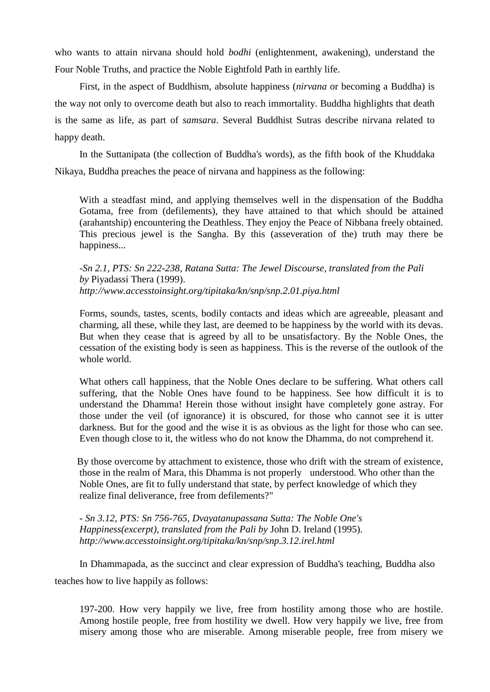who wants to attain nirvana should hold *bodhi* (enlightenment, awakening), understand the Four Noble Truths, and practice the Noble Eightfold Path in earthly life.

First, in the aspect of Buddhism, absolute happiness (*nirvana* or becoming a Buddha) is the way not only to overcome death but also to reach immortality. Buddha highlights that death is the same as life, as part of *samsara*. Several Buddhist Sutras describe nirvana related to happy death.

In the Suttanipata (the collection of Buddha's words), as the fifth book of the Khuddaka Nikaya, Buddha preaches the peace of nirvana and happiness as the following:

With a steadfast mind, and applying themselves well in the dispensation of the Buddha Gotama, free from (defilements), they have attained to that which should be attained (arahantship) encountering the Deathless. They enjoy the Peace of Nibbana freely obtained. This precious jewel is the Sangha. By this (asseveration of the) truth may there be happiness...

-*Sn 2.1, PTS: [Sn 222-238,](http://www.accesstoinsight.org/tipitaka/sltp/Sn_utf8.html#v.222) Ratana Sutta: The Jewel Discourse, translated from the Pali by* Piyadassi Thera (1999). *http://www.accesstoinsight.org/tipitaka/kn/snp/snp.2.01.piya.html*

Forms, sounds, tastes, scents, bodily contacts and ideas which are agreeable, pleasant and charming, all these, while they last, are deemed to be happiness by the world with its devas. But when they cease that is agreed by all to be unsatisfactory. By the Noble Ones, the cessation of the existing body is seen as happiness. This is the reverse of the outlook of the whole world.

What others call happiness, that the Noble Ones declare to be suffering. What others call suffering, that the Noble Ones have found to be happiness. See how difficult it is to understand the Dhamma! Herein those without insight have completely gone astray. For those under the veil (of ignorance) it is obscured, for those who cannot see it is utter darkness. But for the good and the wise it is as obvious as the light for those who can see. Even though close to it, the witless who do not know the Dhamma, do not comprehend it.

By those overcome by attachment to existence, those who drift with the stream of existence, those in the realm of Mara, this Dhamma is not properly understood. Who other than the Noble Ones, are fit to fully understand that state, by perfect knowledge of which they realize final deliverance, free from defilements?"

- *Sn 3.12, PTS: [Sn 756-765,](http://www.accesstoinsight.org/tipitaka/sltp/Sn_utf8.html#v.756) Dvayatanupassana Sutta: The Noble One's Happiness(excerpt), translated from the Pali by* John D. Ireland (1995). *http://www.accesstoinsight.org/tipitaka/kn/snp/snp.3.12.irel.html*

In Dhammapada, as the succinct and clear expression of Buddha's teaching, Buddha also teaches how to live happily as follows:

197-200. How very happily we live, free from hostility among those who are hostile. Among hostile people, free from hostility we dwell. How very happily we live, free from misery among those who are miserable. Among miserable people, free from misery we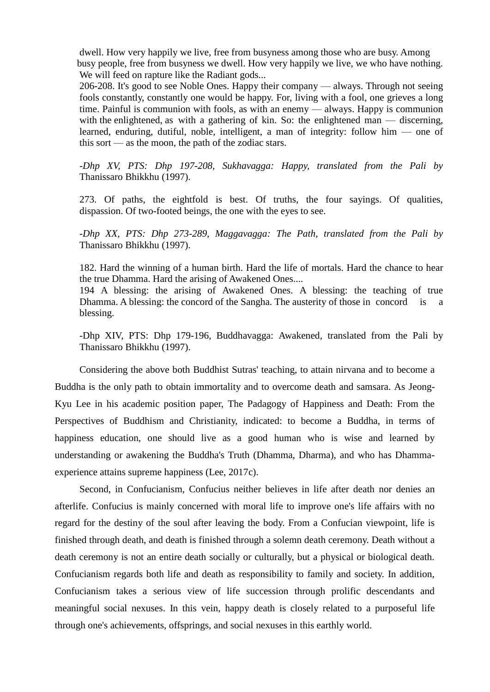dwell. How very happily we live, free from busyness among those who are busy. Among busy people, free from busyness we dwell. How very happily we live, we who have nothing. We will feed on rapture like the Radiant gods...

206-208. It's good to see Noble Ones. Happy their company — always. Through not seeing fools constantly, constantly one would be happy. For, living with a fool, one grieves a long time. Painful is communion with fools, as with an enemy — always. Happy is communion with the enlightened, as with a gathering of kin. So: the enlightened man — discerning, learned, enduring, dutiful, noble, intelligent, a man of integrity: follow him — one of this sort — as the moon, the path of the zodiac stars.

*-Dhp XV, PTS: [Dhp 197-208,](http://www.accesstoinsight.org/tipitaka/sltp/Dhp_utf8.html#v.197) Sukhavagga: Happy, translated from the Pali by*  Thanissaro Bhikkhu (1997).

[273.](http://www.accesstoinsight.org/tipitaka/kn/dhp/dhp.intro.than.html#fn-273) Of paths, the eightfold is best. Of truths, the four sayings. Of qualities, dispassion. Of two-footed beings, the one with the eyes to see.

*-Dhp XX, PTS: [Dhp 273-289,](http://www.accesstoinsight.org/tipitaka/sltp/Dhp_utf8.html#v.273) Maggavagga: The Path, translated from the Pali by*  Thanissaro Bhikkhu (1997).

182. Hard the winning of a human birth. Hard the life of mortals. Hard the chance to hear the true Dhamma. Hard the arising of Awakened Ones....

194 A blessing: the arising of Awakened Ones. A blessing: the teaching of true Dhamma. A blessing: the concord of the Sangha. The austerity of those in concord is a blessing.

-Dhp XIV, PTS: [Dhp 179-196,](http://www.accesstoinsight.org/tipitaka/sltp/Dhp_utf8.html#v.179) Buddhavagga: Awakened, translated from the Pali by Thanissaro Bhikkhu (1997).

Considering the above both Buddhist Sutras' teaching, to attain nirvana and to become a Buddha is the only path to obtain immortality and to overcome death and samsara. As Jeong-Kyu Lee in his academic position paper, The Padagogy of Happiness and Death: From the Perspectives of Buddhism and Christianity, indicated: to become a Buddha, in terms of happiness education, one should live as a good human who is wise and learned by understanding or awakening the Buddha's Truth (Dhamma, Dharma), and who has Dhammaexperience attains supreme happiness (Lee, 2017c).

Second, in Confucianism, Confucius neither believes in life after death nor denies an afterlife. Confucius is mainly concerned with moral life to improve one's life affairs with no regard for the destiny of the soul after leaving the body. From a Confucian viewpoint, life is finished through death, and death is finished through a solemn death ceremony. Death without a death ceremony is not an entire death socially or culturally, but a physical or biological death. Confucianism regards both life and death as responsibility to family and society. In addition, Confucianism takes a serious view of life succession through prolific descendants and meaningful social nexuses. In this vein, happy death is closely related to a purposeful life through one's achievements, offsprings, and social nexuses in this earthly world.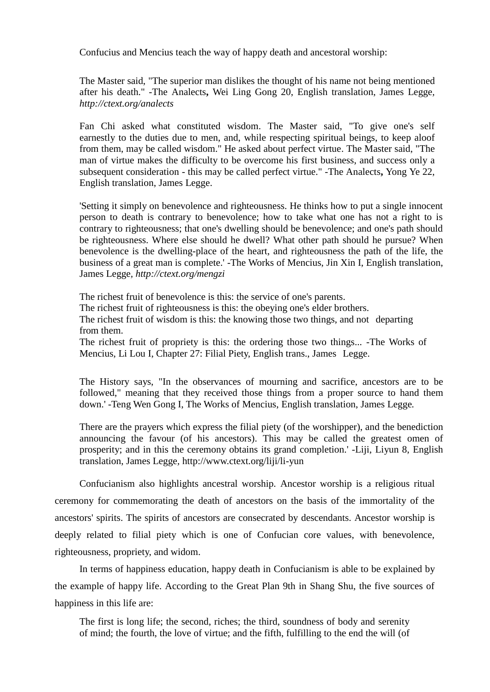Confucius and Mencius teach the way of happy death and ancestoral worship:

The Master said, "The superior man dislikes the thought of his name not being mentioned after his death." -The Analects**,** Wei Ling Gong 20, English translation, James Legge*, http://ctext.org/analects* 

Fan Chi asked what constituted wisdom. The Master said, "To give one's self earnestly to the duties due to men, and, while respecting spiritual beings, to keep aloof from them, may be called wisdom." He asked about perfect virtue. The Master said, "The man of virtue makes the difficulty to be overcome his first business, and success only a subsequent consideration - this may be called perfect virtue." -The Analects**,** Yong Ye 22, English translation, James Legge.

'Setting it simply on benevolence and righteousness. He thinks how to put a single innocent person to death is contrary to benevolence; how to take what one has not a right to is contrary to righteousness; that one's dwelling should be benevolence; and one's path should be righteousness. Where else should he dwell? What other path should he pursue? When benevolence is the dwelling-place of the heart, and righteousness the path of the life, the business of a great man is complete.' -The Works of Mencius, Jin Xin I, English translation, James Legge*, http://ctext.org/mengzi* 

The richest fruit of benevolence is this: the service of one's parents. The richest fruit of righteousness is this: the obeying one's elder brothers. The richest fruit of wisdom is this: the knowing those two things, and not departing from them. The richest fruit of propriety is this: the ordering those two things... -The Works of

Mencius, Li Lou I, Chapter 27: Filial Piety, English trans., James Legge.

The History says, "In the observances of mourning and sacrifice, ancestors are to be followed," meaning that they received those things from a proper source to hand them down.' -Teng Wen Gong I, The Works of Mencius, English translation, James Legge*.*

There are the prayers which express the filial piety (of the worshipper), and the benediction announcing the favour (of his ancestors). This may be called the greatest omen of prosperity; and in this the ceremony obtains its grand completion.' -Liji, Liyun 8, English translation, James Legge*,* http://www.ctext.org/liji/li-yun

Confucianism also highlights ancestral worship. Ancestor worship is a religious ritual ceremony for commemorating the death of ancestors on the basis of the immortality of the ancestors' spirits. The spirits of ancestors are consecrated by descendants. Ancestor worship is deeply related to filial piety which is one of Confucian core values, with benevolence, righteousness, propriety, and widom.

In terms of happiness education, happy death in Confucianism is able to be explained by the example of happy life. According to the Great Plan 9th in Shang Shu, the five sources of happiness in this life are:

The first is long life; the second, riches; the third, soundness of body and serenity of mind; the fourth, the love of virtue; and the fifth, fulfilling to the end the will (of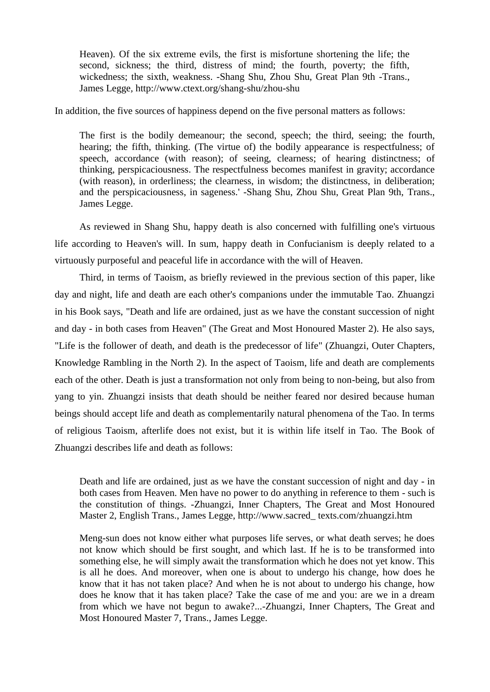Heaven). Of the six extreme evils, the first is misfortune shortening the life; the second, sickness; the third, distress of mind; the fourth, poverty; the fifth, wickedness; the sixth, weakness. -Shang Shu, Zhou Shu, Great Plan 9th -Trans., James Legge*,* http://www.ctext.org/shang-shu/zhou-shu

In addition, the five sources of happiness depend on the five personal matters as follows:

The first is the bodily demeanour; the second, speech; the third, seeing; the fourth, hearing; the fifth, thinking. (The virtue of) the bodily appearance is respectfulness; of speech, accordance (with reason); of seeing, clearness; of hearing distinctness; of thinking, perspicaciousness. The respectfulness becomes manifest in gravity; accordance (with reason), in orderliness; the clearness, in wisdom; the distinctness, in deliberation; and the perspicaciousness, in sageness.' -Shang Shu, Zhou Shu, Great Plan 9th, Trans., James Legge.

 As reviewed in Shang Shu, happy death is also concerned with fulfilling one's virtuous life according to Heaven's will. In sum, happy death in Confucianism is deeply related to a virtuously purposeful and peaceful life in accordance with the will of Heaven.

 Third, in terms of Taoism, as briefly reviewed in the previous section of this paper, like day and night, life and death are each other's companions under the immutable Tao. Zhuangzi in his Book says, "Death and life are ordained, just as we have the constant succession of night and day - in both cases from Heaven" (The Great and Most Honoured Master 2). He also says, "Life is the follower of death, and death is the predecessor of life" [\(Zhuangzi,](http://ctext.org/zhuangzi) Outer Chapters, Knowledge Rambling in the North 2). In the aspect of Taoism, life and death are complements each of the other. Death is just a transformation not only from being to non-being, but also from yang to yin. Zhuangzi insists that death should be neither feared nor desired because human beings should accept life and death as complementarily natural phenomena of the Tao. In terms of religious Taoism, afterlife does not exist, but it is within life itself in Tao. The Book of Zhuangzi describes life and death as follows:

Death and life are ordained, just as we have the constant succession of night and day - in both cases from Heaven. Men have no power to do anything in reference to them - such is the constitution of things. -Zhuangzi, Inner Chapters, The Great and Most Honoured Master 2, English Trans., James Legge, http://www.sacred\_ texts.com/zhuangzi.htm

Meng-sun does not know either what purposes life serves, or what death serves; he does not know which should be first sought, and which last. If he is to be transformed into something else, he will simply await the transformation which he does not yet know. This is all he does. And moreover, when one is about to undergo his change, how does he know that it has not taken place? And when he is not about to undergo his change, how does he know that it has taken place? Take the case of me and you: are we in a dream from which we have not begun to awake?...-Zhuangzi, Inner Chapters, The Great and Most Honoured Master 7, Trans., James Legge.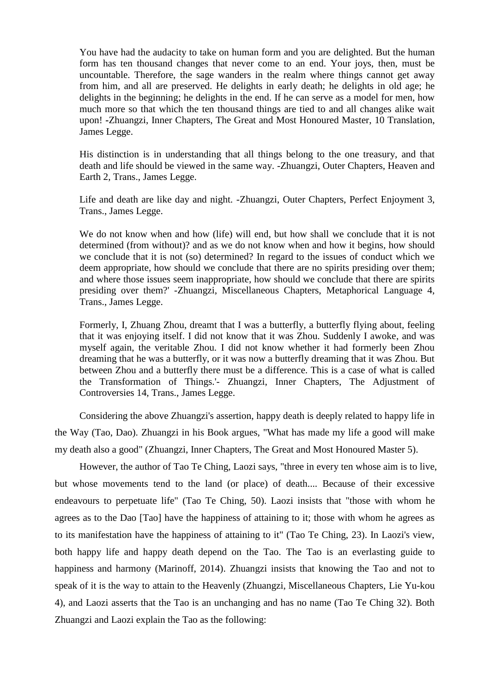You have had the audacity to take on human form and you are delighted. But the human form has ten thousand changes that never come to an end. Your joys, then, must be uncountable. Therefore, the sage wanders in the realm where things cannot get away from him, and all are preserved. He delights in early death; he delights in old age; he delights in the beginning; he delights in the end. If he can serve as a model for men, how much more so that which the ten thousand things are tied to and all changes alike wait upon! **-**[Zhuangzi,](http://ctext.org/zhuangzi) [Inner Chapters,](http://ctext.org/zhuangzi/inner-chapters) The Great and Most Honoured Master, 10 Translation, James Legge.

His distinction is in understanding that all things belong to the one treasury, and that death and life should be viewed in the same way. -Zhuangzi, Outer Chapters, Heaven and Earth 2, Trans., James Legge.

Life and death are like day and night. -Zhuangzi, Outer Chapters, Perfect Enjoyment 3, Trans., James Legge.

We do not know when and how (life) will end, but how shall we conclude that it is not determined (from without)? and as we do not know when and how it begins, how should we conclude that it is not (so) determined? In regard to the issues of conduct which we deem appropriate, how should we conclude that there are no spirits presiding over them; and where those issues seem inappropriate, how should we conclude that there are spirits presiding over them?' -Zhuangzi, Miscellaneous Chapters, [Metaphorical Language](http://ctext.org/zhuangzi/metaphorical-language?searchu=life%20and%20death&searchmode=showall#result) 4, Trans., James Legge.

Formerly, I, Zhuang Zhou, dreamt that I was a butterfly, a butterfly flying about, feeling that it was enjoying itself. I did not know that it was Zhou. Suddenly I awoke, and was myself again, the veritable Zhou. I did not know whether it had formerly been Zhou dreaming that he was a butterfly, or it was now a butterfly dreaming that it was Zhou. But between Zhou and a butterfly there must be a difference. This is a case of what is called the Transformation of Things.'- Zhuangzi, Inner Chapters, The Adjustment of Controversies 14, Trans., James Legge.

 Considering the above Zhuangzi's assertion, happy death is deeply related to happy life in the Way (Tao, Dao). Zhuangzi in his Book argues, "What has made my life a good will make my death also a good" [\(Zhuangzi,](http://ctext.org/zhuangzi) [Inner Chapters,](http://ctext.org/zhuangzi/inner-chapters) The Great and Most Honoured Master 5).

 However, the author of Tao Te Ching, Laozi says, "three in every ten whose aim is to live, but whose movements tend to the land (or place) of death.... Because of their excessive endeavours to perpetuate life" (Tao Te Ching, 50). Laozi insists that "those with whom he agrees as to the Dao [Tao] have the happiness of attaining to it; those with whom he agrees as to its manifestation have the happiness of attaining to it" (Tao Te Ching, 23). In Laozi's view, both happy life and happy death depend on the Tao. The Tao is an everlasting guide to happiness and harmony (Marinoff, 2014). Zhuangzi insists that knowing the Tao and not to speak of it is the way to attain to the Heavenly (Zhuangzi, Miscellaneous Chapters, [Lie](http://ctext.org/zhuangzi/metaphorical-language?searchu=life%20and%20death&searchmode=showall#result) Yu-kou 4), and Laozi asserts that the Tao is an unchanging and has no name (Tao Te Ching 32). Both Zhuangzi and Laozi explain the Tao as the following: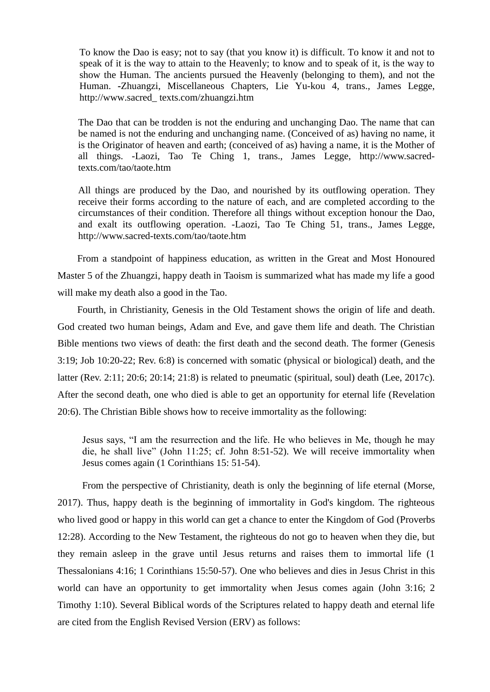To know the Dao is easy; not to say (that you know it) is difficult. To know it and not to speak of it is the way to attain to the Heavenly; to know and to speak of it, is the way to show the Human. The ancients pursued the Heavenly (belonging to them), and not the Human. **-**Zhuangzi, Miscellaneous Chapters, [Lie](http://ctext.org/zhuangzi/metaphorical-language?searchu=life%20and%20death&searchmode=showall#result) Yu-kou 4, trans., James Legge, http://www.sacred\_ texts.com/zhuangzi.htm

The Dao that can be trodden is not the enduring and unchanging Dao. The name that can be named is not the enduring and unchanging name. (Conceived of as) having no name, it is the Originator of heaven and earth; (conceived of as) having a name, it is the Mother of all things. -Laozi, Tao Te Ching 1, trans., James Legge, http://www.sacredtexts.com/tao/taote.htm

All things are produced by the Dao, and nourished by its outflowing operation. They receive their forms according to the nature of each, and are completed according to the circumstances of their condition. Therefore all things without exception honour the Dao, and exalt its outflowing operation. -Laozi, Tao Te Ching 51, trans., James Legge, http://www.sacred-texts.com/tao/taote.htm

 From a standpoint of happiness education, as written in the Great and Most Honoured Master 5 of the Zhuangzi, happy death in Taoism is summarized what has made my life a good will make my death also a good in the Tao.

 Fourth, in Christianity, Genesis in the Old Testament shows the origin of life and death. God created two human beings, Adam and Eve, and gave them life and death. The Christian Bible mentions two views of death: the first death and the second death. The former (Genesis 3:19; Job 10:20-22; Rev. 6:8) is concerned with somatic (physical or biological) death, and the latter (Rev. 2:11; 20:6; 20:14; 21:8) is related to pneumatic (spiritual, soul) death (Lee, 2017c). After the second death, one who died is able to get an opportunity for eternal life (Revelation 20:6). The Christian Bible shows how to receive immortality as the following:

Jesus says, "I am the resurrection and the life. He who believes in Me, though he may die, he shall live" (John 11:25; cf. John 8:51-52). We will receive immortality when Jesus comes again (1 Corinthians 15: 51-54).

From the perspective of Christianity, death is only the beginning of life eternal (Morse, 2017). Thus, happy death is the beginning of immortality in God's kingdom. The righteous who lived good or happy in this world can get a chance to enter the Kingdom of God (Proverbs 12:28). According to the New Testament, the righteous do not go to heaven when they die, but they remain asleep in the grave until Jesus returns and raises them to immortal life (1 Thessalonians 4:16; 1 Corinthians 15:50-57). One who believes and dies in Jesus Christ in this world can have an opportunity to get immortality when Jesus comes again (John 3:16; 2 Timothy 1:10). Several Biblical words of the Scriptures related to happy death and eternal life are cited from the English Revised Version (ERV) as follows: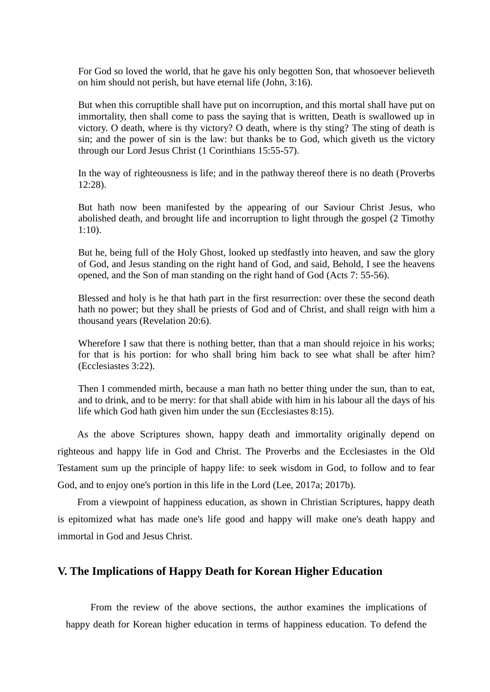For God so loved the world, that he gave his only begotten Son, that whosoever believeth on him should not perish, but have eternal life (John, 3:16).

But when this corruptible shall have put on incorruption, and this mortal shall have put on immortality, then shall come to pass the saying that is written, Death is swallowed up in victory. O death, where is thy victory? O death, where is thy sting? The sting of death is sin; and the power of sin is the law: but thanks be to God, which giveth us the victory through our Lord Jesus Christ (1 Corinthians 15:55-57).

In the way of righteousness is life; and in the pathway thereof there is no death (Proverbs 12:28).

But hath now been manifested by the appearing of our Saviour Christ Jesus, who abolished death, and brought life and incorruption to light through the gospel (2 Timothy 1:10).

But he, being full of the Holy Ghost, looked up stedfastly into heaven, and saw the glory of God, and Jesus standing on the right hand of God, and said, Behold, I see the heavens opened, and the Son of man standing on the right hand of God (Acts 7: 55-56).

Blessed and holy is he that hath part in the first resurrection: over these the second death hath no power; but they shall be priests of God and of Christ, and shall reign with him a thousand years (Revelation 20:6).

Wherefore I saw that there is nothing better, than that a man should rejoice in his works; for that is his portion: for who shall bring him back to see what shall be after him? (Ecclesiastes 3:22).

Then I commended mirth, because a man hath no better thing under the sun, than to eat, and to drink, and to be merry: for that shall abide with him in his labour all the days of his life which God hath given him under the sun (Ecclesiastes 8:15).

 As the above Scriptures shown, happy death and immortality originally depend on righteous and happy life in God and Christ. The Proverbs and the Ecclesiastes in the Old Testament sum up the principle of happy life: to seek wisdom in God, to follow and to fear God, and to enjoy one's portion in this life in the Lord (Lee, 2017a; 2017b).

 From a viewpoint of happiness education, as shown in Christian Scriptures, happy death is epitomized what has made one's life good and happy will make one's death happy and immortal in God and Jesus Christ.

## **V. The Implications of Happy Death for Korean Higher Education**

 From the review of the above sections, the author examines the implications of happy death for Korean higher education in terms of happiness education. To defend the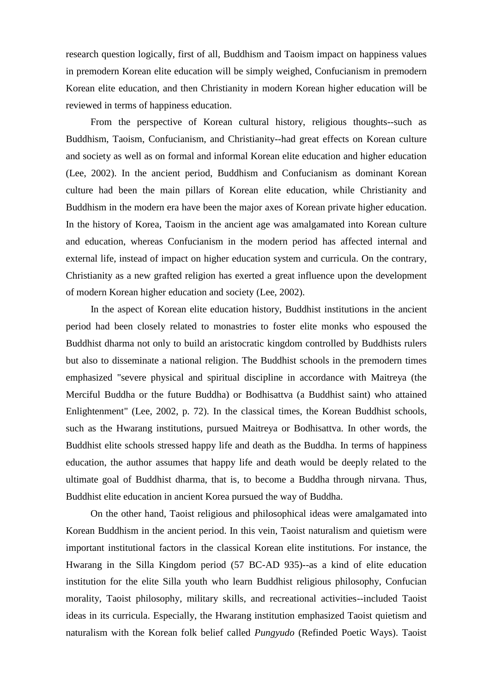research question logically, first of all, Buddhism and Taoism impact on happiness values in premodern Korean elite education will be simply weighed, Confucianism in premodern Korean elite education, and then Christianity in modern Korean higher education will be reviewed in terms of happiness education.

 From the perspective of Korean cultural history, religious thoughts--such as Buddhism, Taoism, Confucianism, and Christianity--had great effects on Korean culture and society as well as on formal and informal Korean elite education and higher education (Lee, 2002). In the ancient period, Buddhism and Confucianism as dominant Korean culture had been the main pillars of Korean elite education, while Christianity and Buddhism in the modern era have been the major axes of Korean private higher education. In the history of Korea, Taoism in the ancient age was amalgamated into Korean culture and education, whereas Confucianism in the modern period has affected internal and external life, instead of impact on higher education system and curricula. On the contrary, Christianity as a new grafted religion has exerted a great influence upon the development of modern Korean higher education and society (Lee, 2002).

 In the aspect of Korean elite education history, Buddhist institutions in the ancient period had been closely related to monastries to foster elite monks who espoused the Buddhist dharma not only to build an aristocratic kingdom controlled by Buddhists rulers but also to disseminate a national religion. The Buddhist schools in the premodern times emphasized "severe physical and spiritual discipline in accordance with Maitreya (the Merciful Buddha or the future Buddha) or Bodhisattva (a Buddhist saint) who attained Enlightenment" (Lee, 2002, p. 72). In the classical times, the Korean Buddhist schools, such as the Hwarang institutions, pursued Maitreya or Bodhisattva. In other words, the Buddhist elite schools stressed happy life and death as the Buddha. In terms of happiness education, the author assumes that happy life and death would be deeply related to the ultimate goal of Buddhist dharma, that is, to become a Buddha through nirvana. Thus, Buddhist elite education in ancient Korea pursued the way of Buddha.

 On the other hand, Taoist religious and philosophical ideas were amalgamated into Korean Buddhism in the ancient period. In this vein, Taoist naturalism and quietism were important institutional factors in the classical Korean elite institutions. For instance, the Hwarang in the Silla Kingdom period (57 BC-AD 935)--as a kind of elite education institution for the elite Silla youth who learn Buddhist religious philosophy, Confucian morality, Taoist philosophy, military skills, and recreational activities--included Taoist ideas in its curricula. Especially, the Hwarang institution emphasized Taoist quietism and naturalism with the Korean folk belief called *Pungyudo* (Refinded Poetic Ways). Taoist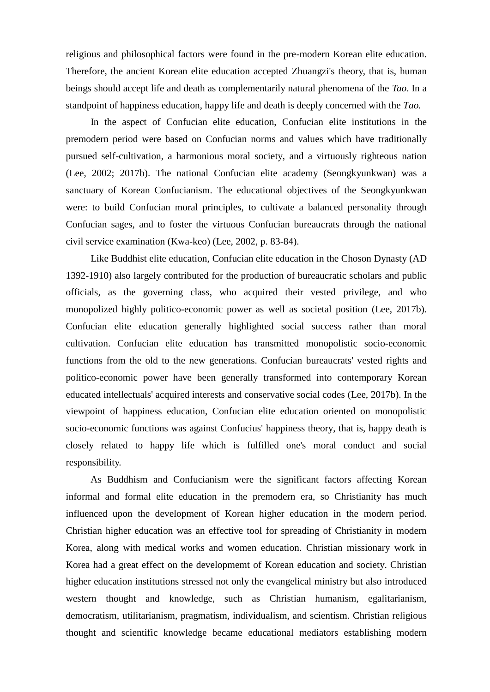religious and philosophical factors were found in the pre-modern Korean elite education. Therefore, the ancient Korean elite education accepted Zhuangzi's theory, that is, human beings should accept life and death as complementarily natural phenomena of the *Tao*. In a standpoint of happiness education, happy life and death is deeply concerned with the *Tao.*

 In the aspect of Confucian elite education, Confucian elite institutions in the premodern period were based on Confucian norms and values which have traditionally pursued self-cultivation, a harmonious moral society, and a virtuously righteous nation (Lee, 2002; 2017b). The national Confucian elite academy (Seongkyunkwan) was a sanctuary of Korean Confucianism. The educational objectives of the Seongkyunkwan were: to build Confucian moral principles, to cultivate a balanced personality through Confucian sages, and to foster the virtuous Confucian bureaucrats through the national civil service examination (Kwa-keo) (Lee, 2002, p. 83-84).

 Like Buddhist elite education, Confucian elite education in the Choson Dynasty (AD 1392-1910) also largely contributed for the production of bureaucratic scholars and public officials, as the governing class, who acquired their vested privilege, and who monopolized highly politico-economic power as well as societal position (Lee, 2017b). Confucian elite education generally highlighted social success rather than moral cultivation. Confucian elite education has transmitted monopolistic socio-economic functions from the old to the new generations. Confucian bureaucrats' vested rights and politico-economic power have been generally transformed into contemporary Korean educated intellectuals' acquired interests and conservative social codes (Lee, 2017b). In the viewpoint of happiness education, Confucian elite education oriented on monopolistic socio-economic functions was against Confucius' happiness theory, that is, happy death is closely related to happy life which is fulfilled one's moral conduct and social responsibility.

 As Buddhism and Confucianism were the significant factors affecting Korean informal and formal elite education in the premodern era, so Christianity has much influenced upon the development of Korean higher education in the modern period. Christian higher education was an effective tool for spreading of Christianity in modern Korea, along with medical works and women education. Christian missionary work in Korea had a great effect on the developmemt of Korean education and society. Christian higher education institutions stressed not only the evangelical ministry but also introduced western thought and knowledge, such as Christian humanism, egalitarianism, democratism, utilitarianism, pragmatism, individualism, and scientism. Christian religious thought and scientific knowledge became educational mediators establishing modern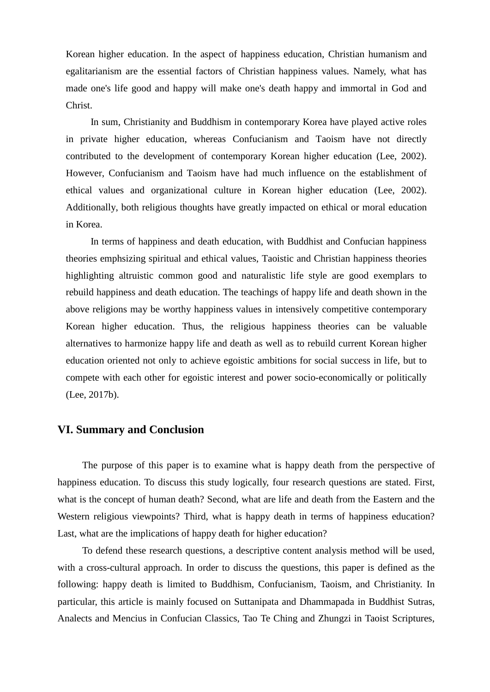Korean higher education. In the aspect of happiness education, Christian humanism and egalitarianism are the essential factors of Christian happiness values. Namely, what has made one's life good and happy will make one's death happy and immortal in God and Christ.

 In sum, Christianity and Buddhism in contemporary Korea have played active roles in private higher education, whereas Confucianism and Taoism have not directly contributed to the development of contemporary Korean higher education (Lee, 2002). However, Confucianism and Taoism have had much influence on the establishment of ethical values and organizational culture in Korean higher education (Lee, 2002). Additionally, both religious thoughts have greatly impacted on ethical or moral education in Korea.

 In terms of happiness and death education, with Buddhist and Confucian happiness theories emphsizing spiritual and ethical values, Taoistic and Christian happiness theories highlighting altruistic common good and naturalistic life style are good exemplars to rebuild happiness and death education. The teachings of happy life and death shown in the above religions may be worthy happiness values in intensively competitive contemporary Korean higher education. Thus, the religious happiness theories can be valuable alternatives to harmonize happy life and death as well as to rebuild current Korean higher education oriented not only to achieve egoistic ambitions for social success in life, but to compete with each other for egoistic interest and power socio-economically or politically (Lee, 2017b).

# **VI. Summary and Conclusion**

 The purpose of this paper is to examine what is happy death from the perspective of happiness education. To discuss this study logically, four research questions are stated. First, what is the concept of human death? Second, what are life and death from the Eastern and the Western religious viewpoints? Third, what is happy death in terms of happiness education? Last, what are the implications of happy death for higher education?

 To defend these research questions, a descriptive content analysis method will be used, with a cross-cultural approach. In order to discuss the questions, this paper is defined as the following: happy death is limited to Buddhism, Confucianism, Taoism, and Christianity. In particular, this article is mainly focused on Suttanipata and Dhammapada in Buddhist Sutras, Analects and Mencius in Confucian Classics, Tao Te Ching and Zhungzi in Taoist Scriptures,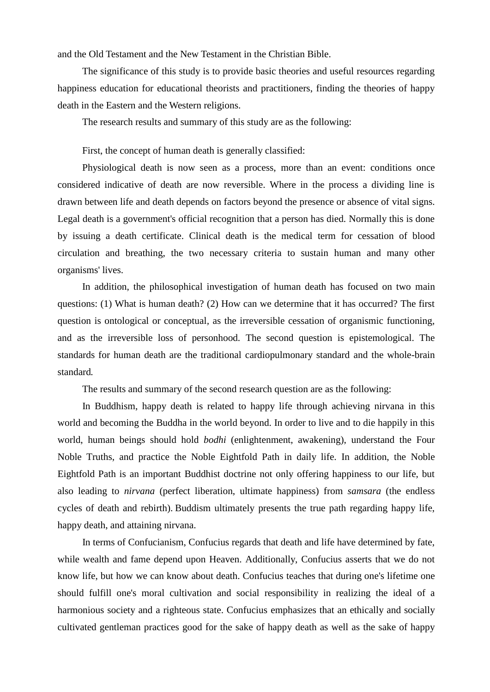and the Old Testament and the New Testament in the Christian Bible.

The significance of this study is to provide basic theories and useful resources regarding happiness education for educational theorists and practitioners, finding the theories of happy death in the Eastern and the Western religions.

The research results and summary of this study are as the following:

First, the concept of human death is generally classified:

[Physiological](https://en.wikipedia.org/wiki/Physiological) death is now seen as a process, more than an event: conditions once considered indicative of death are now reversible. Where in the process a dividing line is drawn between life and death depends on factors beyond the presence or absence of [vital signs.](https://en.wikipedia.org/wiki/Vital_signs) Legal death is a government's official recognition that a person has died. Normally this is done by issuing a [death certificate.](https://en.wikipedia.org/wiki/Death_certificate) Clinical death is the medical term for cessation of blood circulation and breathing, the two necessary criteria to sustain human and many other organisms' lives.

In addition, the philosophical investigation of human death has focused on two main questions: (1) What is human death? (2) How can we determine that it has occurred? The first question is ontological or conceptual*,* as the irreversible cessation of organismic functioning, and as the irreversible loss of personhood*.* The second question is epistemological. The standards for human death are the traditional cardiopulmonary standard and the whole-brain standard*.* 

The results and summary of the second research question are as the following:

 In Buddhism, happy death is related to happy life through achieving nirvana in this world and becoming the Buddha in the world beyond. In order to live and to die happily in this world, human beings should hold *bodhi* (enlightenment, awakening), understand the Four Noble Truths, and practice the Noble Eightfold Path in daily life. In addition, the Noble Eightfold Path is an important Buddhist doctrine not only offering happiness to our life, but also leading to *[nirvana](https://en.wikipedia.org/wiki/Moksha)* (perfect liberation, ultimate happiness) from *[samsara](https://en.wikipedia.org/wiki/Samsara)* (the endless cycles of death and rebirth). Buddism ultimately presents the true path regarding happy life, happy death, and attaining nirvana.

 In terms of Confucianism, Confucius regards that death and life have determined by fate, while wealth and fame depend upon Heaven. Additionally, Confucius asserts that we do not know life, but how we can know about death. Confucius teaches that during one's lifetime one should fulfill one's moral cultivation and social responsibility in realizing the ideal of a harmonious society and a righteous state. Confucius emphasizes that an ethically and socially cultivated gentleman practices good for the sake of happy death as well as the sake of happy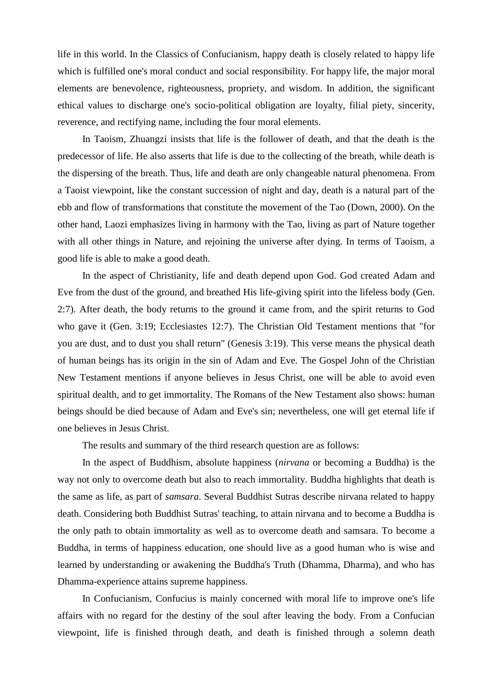life in this world. In the Classics of Confucianism, happy death is closely related to happy life which is fulfilled one's moral conduct and social responsibility. For happy life, the major moral elements are benevolence, righteousness, propriety, and wisdom. In addition, the significant ethical values to discharge one's socio-political obligation are loyalty, filial piety, sincerity, reverence, and rectifying name, including the four moral elements.

 In Taoism, Zhuangzi insists that life is the follower of death, and that the death is the predecessor of life. He also asserts that life is due to the collecting of the breath, while death is the dispersing of the breath. Thus, life and death are only changeable natural phenomena. From a Taoist viewpoint, like the constant succession of night and day, death is a natural part of the ebb and flow of transformations that constitute the movement of the Tao (Down, 2000). On the other hand, Laozi emphasizes living in harmony with the Tao, living as part of Nature together with all other things in Nature, and rejoining the universe after dying. In terms of Taoism, a good life is able to make a good death.

 In the aspect of Christianity, life and death depend upon God. God created Adam and Eve from the dust of the ground, and breathed His life-giving spirit into the lifeless body (Gen. 2:7). After death, the body returns to the ground it came from, and the spirit returns to God who gave it (Gen. 3:19; Ecclesiastes 12:7). The Christian Old Testament mentions that "for you are dust, and to dust you shall return" (Genesis 3:19). This verse means the physical death of human beings has its origin in the sin of Adam and Eve. The Gospel John of the Christian New Testament mentions if anyone believes in Jesus Christ, one will be able to avoid even spiritual dealth, and to get immortality. The Romans of the New Testament also shows: human beings should be died because of Adam and Eve's sin; nevertheless, one will get eternal life if one believes in Jesus Christ.

The results and summary of the third research question are as follows:

 In the aspect of Buddhism, absolute happiness (*nirvana* or becoming a Buddha) is the way not only to overcome death but also to reach immortality. Buddha highlights that death is the same as life, as part of *samsara*. Several Buddhist Sutras describe nirvana related to happy death. Considering both Buddhist Sutras' teaching, to attain nirvana and to become a Buddha is the only path to obtain immortality as well as to overcome death and samsara. To become a Buddha, in terms of happiness education, one should live as a good human who is wise and learned by understanding or awakening the Buddha's Truth (Dhamma, Dharma), and who has Dhamma-experience attains supreme happiness.

 In Confucianism, Confucius is mainly concerned with moral life to improve one's life affairs with no regard for the destiny of the soul after leaving the body. From a Confucian viewpoint, life is finished through death, and death is finished through a solemn death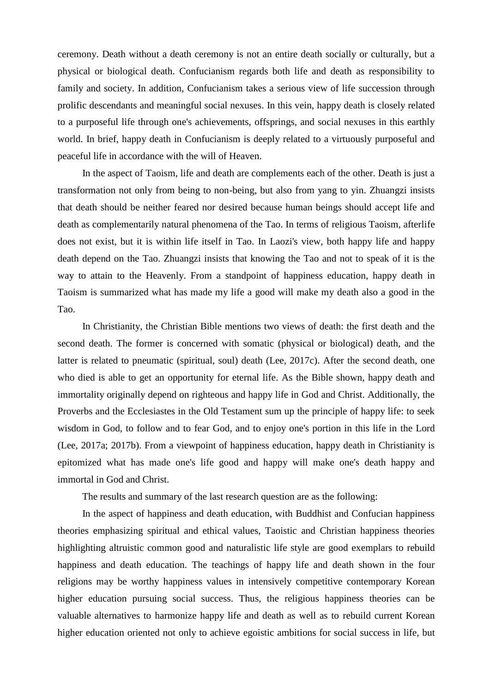ceremony. Death without a death ceremony is not an entire death socially or culturally, but a physical or biological death. Confucianism regards both life and death as responsibility to family and society. In addition, Confucianism takes a serious view of life succession through prolific descendants and meaningful social nexuses. In this vein, happy death is closely related to a purposeful life through one's achievements, offsprings, and social nexuses in this earthly world. In brief, happy death in Confucianism is deeply related to a virtuously purposeful and peaceful life in accordance with the will of Heaven.

 In the aspect of Taoism, life and death are complements each of the other. Death is just a transformation not only from being to non-being, but also from yang to yin. Zhuangzi insists that death should be neither feared nor desired because human beings should accept life and death as complementarily natural phenomena of the Tao. In terms of religious Taoism, afterlife does not exist, but it is within life itself in Tao. In Laozi's view, both happy life and happy death depend on the Tao. Zhuangzi insists that knowing the Tao and not to speak of it is the way to attain to the Heavenly. From a standpoint of happiness education, happy death in Taoism is summarized what has made my life a good will make my death also a good in the Tao.

 In Christianity, the Christian Bible mentions two views of death: the first death and the second death. The former is concerned with somatic (physical or biological) death, and the latter is related to pneumatic (spiritual, soul) death (Lee, 2017c). After the second death, one who died is able to get an opportunity for eternal life. As the Bible shown, happy death and immortality originally depend on righteous and happy life in God and Christ. Additionally, the Proverbs and the Ecclesiastes in the Old Testament sum up the principle of happy life: to seek wisdom in God, to follow and to fear God, and to enjoy one's portion in this life in the Lord (Lee, 2017a; 2017b). From a viewpoint of happiness education, happy death in Christianity is epitomized what has made one's life good and happy will make one's death happy and immortal in God and Christ.

The results and summary of the last research question are as the following:

 In the aspect of happiness and death education, with Buddhist and Confucian happiness theories emphasizing spiritual and ethical values, Taoistic and Christian happiness theories highlighting altruistic common good and naturalistic life style are good exemplars to rebuild happiness and death education. The teachings of happy life and death shown in the four religions may be worthy happiness values in intensively competitive contemporary Korean higher education pursuing social success. Thus, the religious happiness theories can be valuable alternatives to harmonize happy life and death as well as to rebuild current Korean higher education oriented not only to achieve egoistic ambitions for social success in life, but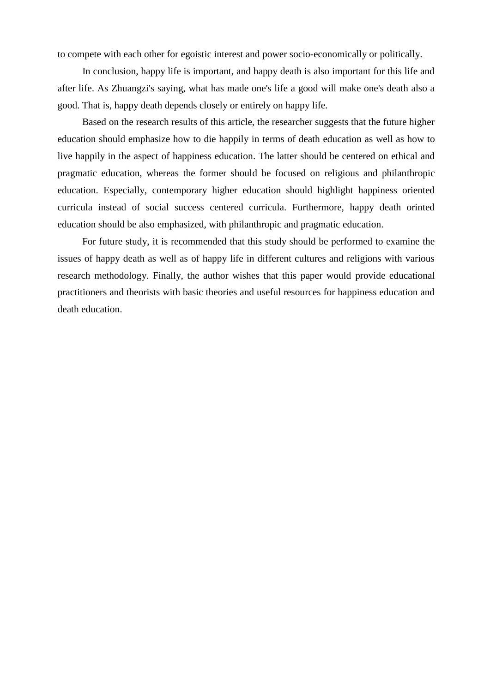to compete with each other for egoistic interest and power socio-economically or politically.

 In conclusion, happy life is important, and happy death is also important for this life and after life. As [Zhuangzi's](http://ctext.org/zhuangzi) saying, what has made one's life a good will make one's death also a good. That is, happy death depends closely or entirely on happy life.

 Based on the research results of this article, the researcher suggests that the future higher education should emphasize how to die happily in terms of death education as well as how to live happily in the aspect of happiness education. The latter should be centered on ethical and pragmatic education, whereas the former should be focused on religious and philanthropic education. Especially, contemporary higher education should highlight happiness oriented curricula instead of social success centered curricula. Furthermore, happy death orinted education should be also emphasized, with philanthropic and pragmatic education.

 For future study, it is recommended that this study should be performed to examine the issues of happy death as well as of happy life in different cultures and religions with various research methodology. Finally, the author wishes that this paper would provide educational practitioners and theorists with basic theories and useful resources for happiness education and death education.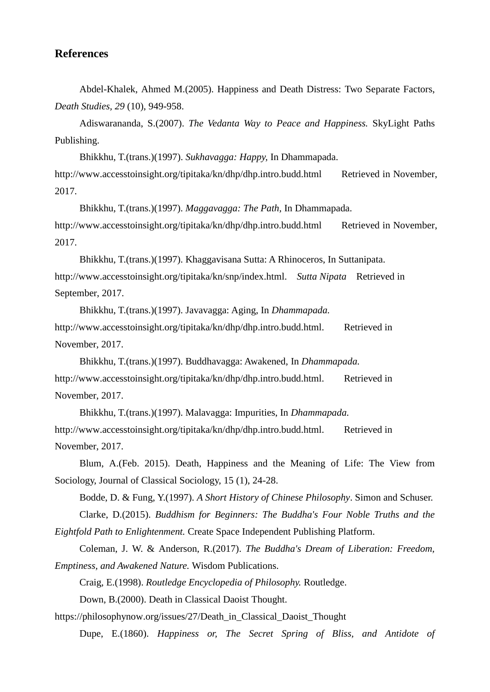## **References**

 Abdel-Khalek, Ahmed M.(2005). Happiness and Death Distress: Two Separate Factors, *Death Studies, 29* (10), 949-958.

 Adiswarananda, S.(2007). *The Vedanta Way to Peace and Happiness.* SkyLight Paths Publishing.

Bhikkhu, T.(trans.[\)\(1997\)](http://www.accesstoinsight.org/tipitaka/kn/snp/snp.1.03.than.html#F_termsOfUse). *Sukhavagga: Happy,* In Dhammapada.

[http://www.](http://www/)accesstoinsight.org/tipitaka/kn/dhp/dhp.intro.budd.html Retrieved in November, 2017.

 Bhikkhu, T.(trans.[\)\(1997\)](http://www.accesstoinsight.org/tipitaka/kn/snp/snp.1.03.than.html#F_termsOfUse). *Maggavagga: The Path,* In Dhammapada. [http://www.](http://www/)accesstoinsight.org/tipitaka/kn/dhp/dhp.intro.budd.html Retrieved in November, 2017.

 Bhikkhu, T.(trans.[\)\(1997\)](http://www.accesstoinsight.org/tipitaka/kn/snp/snp.1.03.than.html#F_termsOfUse). Khaggavisana Sutta: A Rhinoceros, In Suttanipata. [http://www.](http://www/)accesstoinsight.org/tipitaka/kn/snp/index.html. *Sutta Nipata* Retrieved in September, 2017.

 Bhikkhu, T.(trans.[\)\(1997\)](http://www.accesstoinsight.org/tipitaka/kn/snp/snp.1.03.than.html#F_termsOfUse). Javavagga: Aging, In *Dhammapada.*  [http://www.](http://www/)accesstoinsight.org/tipitaka/kn/dhp/dhp.intro.budd.html. Retrieved in November, 2017.

 Bhikkhu, T.(trans.[\)\(1997\)](http://www.accesstoinsight.org/tipitaka/kn/snp/snp.1.03.than.html#F_termsOfUse). Buddhavagga: Awakened, In *Dhammapada.*  [http://www.](http://www/)accesstoinsight.org/tipitaka/kn/dhp/dhp.intro.budd.html. Retrieved in November, 2017.

 Bhikkhu, T.(trans.[\)\(1997\)](http://www.accesstoinsight.org/tipitaka/kn/snp/snp.1.03.than.html#F_termsOfUse). Malavagga: Impurities, In *Dhammapada.*  [http://www.](http://www/)accesstoinsight.org/tipitaka/kn/dhp/dhp.intro.budd.html. Retrieved in November, 2017.

 Blum, A.(Feb. 2015). Death, Happiness and the Meaning of Life: The View from Sociology, Journal of Classical Sociology, 15 (1), 24-28.

 Bodde, D. & Fung, Y.(1997). *A Short History of Chinese Philosophy*. Simon and Schuser. Clarke, D.(2015). *Buddhism for Beginners: The Buddha's Four Noble Truths and the Eightfold Path to Enlightenment.* Create Space Independent Publishing Platform.

Coleman, J. W. & Anderson, R.(2017). *The Buddha's Dream of Liberation: Freedom,* 

*Emptiness, and Awakened Nature.* Wisdom Publications.

Craig, E.(1998). *Routledge Encyclopedia of Philosophy.* Routledge.

Down, B.(2000). Death in Classical Daoist Thought.

https://philosophynow.org/issues/27/Death\_in\_Classical\_Daoist\_Thought

Dupe, E.(1860). *Happiness or, The Secret Spring of Bliss, and Antidote of*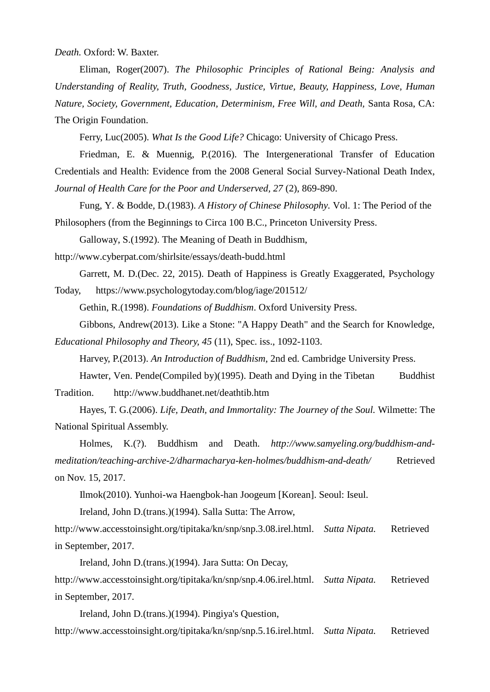*Death.* Oxford: W. Baxter.

 Eliman, Roger(2007). *The Philosophic Principles of Rational Being: Analysis and Understanding of Reality, Truth, Goodness, Justice, Virtue, Beauty, Happiness, Love, Human Nature, Society, Government, Education, Determinism, Free Will, and Death,* Santa Rosa, CA: The Origin Foundation.

Ferry, Luc(2005). *What Is the Good Life?* Chicago: University of Chicago Press.

 Friedman, E. & Muennig, P.(2016). The Intergenerational Transfer of Education Credentials and Health: Evidence from the 2008 General Social Survey-National Death Index, *Journal of Health Care for the Poor and Underserved, 27* (2), 869-890.

 Fung, Y. & Bodde, D.(1983). *A History of Chinese Philosophy.* Vol. 1: The Period of the Philosophers (from the Beginnings to Circa 100 B.C., Princeton University Press.

Galloway, S.(1992). The Meaning of Death in Buddhism,

http://www.cyberpat.com/shirlsite/essays/death-budd.html

Garrett, M. D.(Dec. 22, 2015). Death of Happiness is Greatly Exaggerated, Psychology

Today, https://www.psychologytoday.com/blog/iage/201512/

Gethin, R.(1998). *Foundations of Buddhism*. Oxford University Press.

Gibbons, Andrew(2013). Like a Stone: "A Happy Death" and the Search for Knowledge,

*Educational Philosophy and Theory, 45* (11), Spec. iss., 1092-1103.

Harvey, P.(2013). *An Introduction of Buddhism*, 2nd ed. Cambridge University Press.

Hawter, Ven. Pende(Compiled by)(1995). Death and Dying in the Tibetan Buddhist Tradition. http://www.buddhanet.net/deathtib.htm

 Hayes, T. G.(2006). *Life, Death, and Immortality: The Journey of the Soul.* Wilmette: The National Spiritual Assembly.

 Holmes, K.(?). Buddhism and Death. *http://www.samyeling.org/buddhism-andmeditation/teaching-archive-2/dharmacharya-ken-holmes/buddhism-and-death/* Retrieved on Nov. 15, 2017.

Ilmok(2010). Yunhoi-wa Haengbok-han Joogeum [Korean]. Seoul: Iseul.

Ireland, John D.(trans.[\)\(1994\)](http://www.accesstoinsight.org/tipitaka/kn/snp/snp.3.08.irel.html#F_termsOfUse). Salla Sutta: The Arrow,

[http://www.](http://www/)accesstoinsight.org/tipitaka/kn/snp/snp.3.08.irel.html. *Sutta Nipata.* Retrieved in September, 2017.

Ireland, John D.(trans.[\)\(1994\)](http://www.accesstoinsight.org/tipitaka/kn/snp/snp.3.08.irel.html#F_termsOfUse). Jara Sutta: On Decay,

[http://www.](http://www/)accesstoinsight.org/tipitaka/kn/snp/snp.4.06.irel.html. *Sutta Nipata.* Retrieved in September, 2017.

Ireland, John D.(trans.[\)\(1994\)](http://www.accesstoinsight.org/tipitaka/kn/snp/snp.3.08.irel.html#F_termsOfUse). Pingiya's Question,

[http://www.](http://www/)accesstoinsight.org/tipitaka/kn/snp/snp.5.16.irel.html. *Sutta Nipata.* Retrieved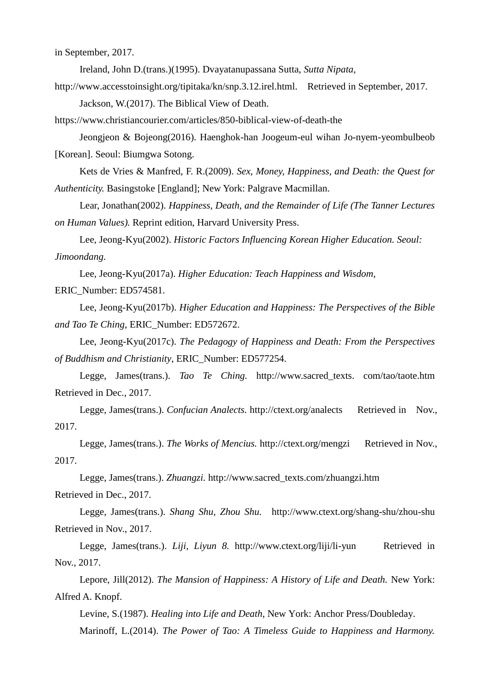in September, 2017.

Ireland, John D.(trans.[\)\(1995\)](http://www.accesstoinsight.org/tipitaka/kn/snp/snp.3.08.irel.html#F_termsOfUse). Dvayatanupassana Sutta, *Sutta Nipata,*

[http://www.](http://www/)accesstoinsight.org/tipitaka/kn/snp.3.12.irel.html. Retrieved in September, 2017. Jackson, W.(2017). The Biblical View of Death.

https://www.christiancourier.com/articles/850-biblical-view-of-death-the

 Jeongjeon & Bojeong(2016). Haenghok-han Joogeum-eul wihan Jo-nyem-yeombulbeob [Korean]. Seoul: Biumgwa Sotong.

 Kets de Vries & Manfred, F. R.(2009). *Sex, Money, Happiness, and Death: the Quest for Authenticity.* Basingstoke [England]; New York: Palgrave Macmillan.

 Lear, Jonathan(2002). *Happiness, Death, and the Remainder of Life (The Tanner Lectures on Human Values).* Reprint edition, Harvard University Press.

Lee, Jeong-Kyu(2002). *Historic Factors Influencing Korean Higher Education. Seoul: Jimoondang.*

Lee, Jeong-Kyu(2017a). *Higher Education: Teach Happiness and Wisdom,*  ERIC\_Number: ED574581.

 Lee, Jeong-Kyu(2017b). *Higher Education and Happiness: The Perspectives of the Bible and Tao Te Ching,* ERIC\_Number: ED572672.

 Lee, Jeong-Kyu(2017c). *The Pedagogy of Happiness and Death: From the Perspectives of Buddhism and Christianity*, ERIC\_Number: ED577254.

Legge, James(trans.). *Tao Te Ching.* http://www.sacred\_texts. com/tao/taote.htm Retrieved in Dec., 2017.

Legge, James(trans.). *Confucian Analects.* http://ctext.org/analects Retrieved in Nov., 2017.

Legge, James(trans.). *The Works of Mencius.* http://ctext.org/mengzi Retrieved in Nov., 2017.

Legge, James(trans.). *Zhuangzi.* http://www.sacred\_texts.com/zhuangzi.htm

Retrieved in Dec., 2017.

 Legge, James(trans.). *Shang Shu, Zhou Shu.* http://www.ctext.org/shang-shu/zhou-shu Retrieved in Nov., 2017.

Legge, James(trans.). *Liji, Liyun 8.* http://www.ctext.org/liji/li-yun Retrieved in Nov., 2017.

 Lepore, Jill(2012). *The Mansion of Happiness: A History of Life and Death.* New York: Alfred A. Knopf.

Levine, S.(1987). *Healing into Life and Death*, New York: Anchor Press/Doubleday.

Marinoff, L.(2014). *The Power of Tao: A Timeless Guide to Happiness and Harmony.*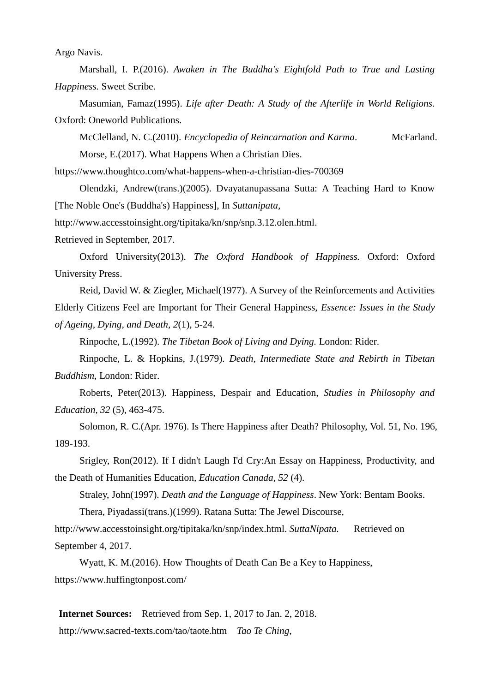Argo Navis.

 Marshall, I. P.(2016). *Awaken in The Buddha's Eightfold Path to True and Lasting Happiness.* Sweet Scribe.

 Masumian, Famaz(1995). *Life after Death: A Study of the Afterlife in World Religions.* Oxford: Oneworld Publications.

McClelland, N. C.(2010). *Encyclopedia of Reincarnation and Karma*. McFarland.

Morse, E.(2017). What Happens When a Christian Dies.

https://www.thoughtco.com/what-happens-when-a-christian-dies-700369

 Olendzki, Andrew(trans.)(2005). Dvayatanupassana Sutta: A Teaching Hard to Know [The Noble One's (Buddha's) Happiness], In *Suttanipata,*

[http://www.accesstoinsight.org/tipitaka/kn/snp/snp.3.12.olen.html.](http://www.accesstoinsight.org/tipitaka/kn/snp/snp.3.12.olen.html)

Retrieved in September, 2017.

 Oxford University(2013). *The Oxford Handbook of Happiness.* Oxford: Oxford University Press.

 Reid, David W. & Ziegler, Michael(1977). A Survey of the Reinforcements and Activities Elderly Citizens Feel are Important for Their General Happiness, *Essence: Issues in the Study of Ageing, Dying, and Death, 2*(1), 5-24.

Rinpoche, L.(1992). *The Tibetan Book of Living and Dying.* London: Rider.

 Rinpoche, L. & Hopkins, J.(1979). *Death, Intermediate State and Rebirth in Tibetan Buddhism*, London: Rider.

 Roberts, Peter(2013). Happiness, Despair and Education, *Studies in Philosophy and Education, 32* (5), 463-475.

 Solomon, R. C.(Apr. 1976). Is There Happiness after Death? Philosophy, Vol. 51, No. 196, 189-193.

 Srigley, Ron(2012). If I didn't Laugh I'd Cry:An Essay on Happiness, Productivity, and the Death of Humanities Education, *Education Canada, 52* (4).

Straley, John(1997). *Death and the Language of Happiness*. New York: Bentam Books.

Thera, Piyadassi(trans.[\)\(1999\)](http://www.accesstoinsight.org/tipitaka/kn/snp/snp.2.01.piya.html#F_termsOfUse). Ratana Sutta: The Jewel Discourse,

[http://www.](http://www/)accesstoinsight.org/tipitaka/kn/snp/index.html. *SuttaNipata.* Retrieved on September 4, 2017.

 Wyatt, K. M.(2016). How Thoughts of Death Can Be a Key to Happiness, https://www.huffingtonpost.com/

**Internet Sources:** Retrieved from Sep. 1, 2017 to Jan. 2, 2018. http://www.sacred-texts.com/tao/taote.htm *Tao Te Ching*,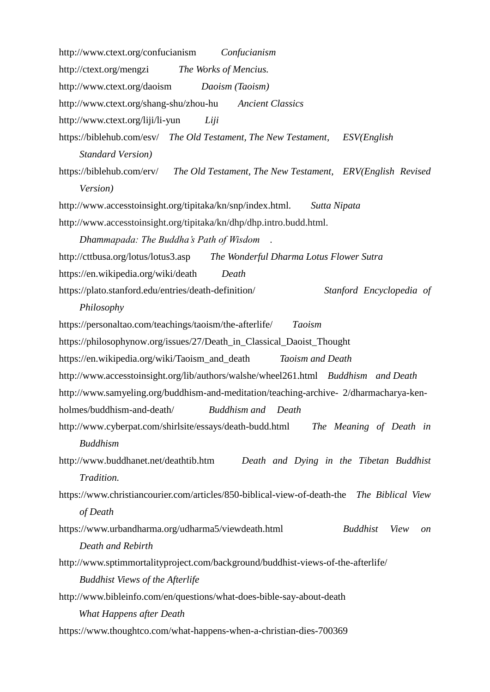http://www.ctext.org/confucianism *Confucianism* http://ctext.org/mengzi *The Works of Mencius.* http://www.ctext.org/daoism *Daoism (Taoism)* http://www.ctext.org/shang-shu/zhou-hu *Ancient Classics* http://www.ctext.org/liji/li-yun *Liji* https://biblehub.com/esv/ *The Old Testament, The New Testament, ESV(English Standard Version)* https://biblehub.com/erv/ *The Old Testament, The New Testament, ERV(English Revised Version)* [http://www.](http://www/)accesstoinsight.org/tipitaka/kn/snp/index.html. *Sutta Nipata*  [http://www.](http://www/)accesstoinsight.org/tipitaka/kn/dhp/dhp.intro.budd.html. *Dhammapada: The Buddha's Path of Wisdom* . http://cttbusa.org/lotus/lotus3.asp *The Wonderful Dharma Lotus Flower Sutra* https://en.wikipedia.org/wiki/death *Death* https://plato.stanford.edu/entries/death-definition/ *Stanford Encyclopedia of Philosophy* https://personaltao.com/teachings/taoism/the-afterlife/ *Taoism* https://philosophynow.org/issues/27/Death\_in\_Classical\_Daoist\_Thought https://en.wikipedia.org/wiki/Taoism\_and\_death *Taoism and Death* http://www.accesstoinsight.org/lib/authors/walshe/wheel261.html *Buddhism and Death* http://www.samyeling.org/buddhism-and-meditation/teaching-archive- 2/dharmacharya-kenholmes/buddhism-and-death/ *Buddhism and Death* http://www.cyberpat.com/shirlsite/essays/death-budd.html *The Meaning of Death in Buddhism* http://www.buddhanet.net/deathtib.htm *Death and Dying in the Tibetan Buddhist Tradition.* https://www.christiancourier.com/articles/850-biblical-view-of-death-the *The Biblical View of Death* https://www.urbandharma.org/udharma5/viewdeath.html *Buddhist View on Death and Rebirth* http://www.sptimmortalityproject.com/background/buddhist-views-of-the-afterlife/ *Buddhist Views of the Afterlife* http://www.bibleinfo.com/en/questions/what-does-bible-say-about-death *What Happens after Death* https://www.thoughtco.com/what-happens-when-a-christian-dies-700369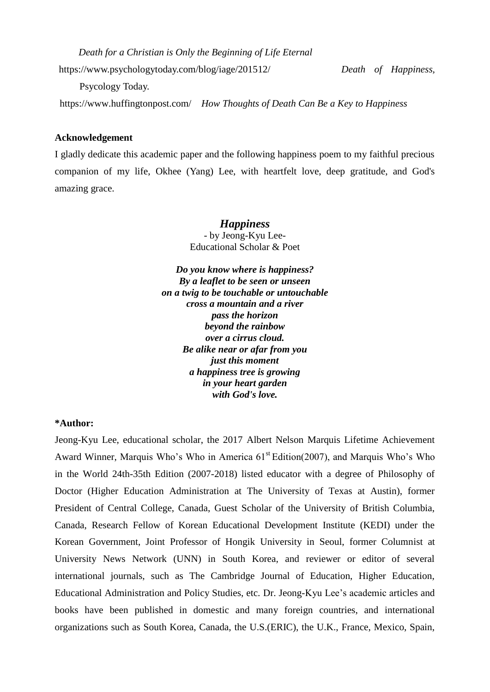*Death for a Christian is Only the Beginning of Life Eternal*

https://www.psychologytoday.com/blog/iage/201512/ *Death of Happiness,*

Psycology Today.

https://www.huffingtonpost.com/ *How Thoughts of Death Can Be a Key to Happiness*

### **Acknowledgement**

I gladly dedicate this academic paper and the following happiness poem to my faithful precious companion of my life, Okhee (Yang) Lee, with heartfelt love, deep gratitude, and God's amazing grace.

> *Happiness* - by Jeong-Kyu Lee-Educational Scholar & Poet

*Do you know where is happiness? By a leaflet to be seen or unseen on a twig to be touchable or untouchable cross a mountain and a river pass the horizon beyond the rainbow over a cirrus cloud. Be alike near or afar from you just this moment a happiness tree is growing in your heart garden with God's love.*

#### **\*Author:**

Jeong-Kyu Lee, educational scholar, the 2017 Albert Nelson Marquis Lifetime Achievement Award Winner, Marquis Who's Who in America  $61<sup>st</sup> Edition(2007)$ , and Marquis Who's Who in the World 24th-35th Edition (2007-2018) listed educator with a degree of Philosophy of Doctor (Higher Education Administration at The University of Texas at Austin), former President of Central College, Canada, Guest Scholar of the University of British Columbia, Canada, Research Fellow of Korean Educational Development Institute (KEDI) under the Korean Government, Joint Professor of Hongik University in Seoul, former Columnist at University News Network (UNN) in South Korea, and reviewer or editor of several international journals, such as The Cambridge Journal of Education, Higher Education, Educational Administration and Policy Studies, etc. Dr. Jeong-Kyu Lee's academic articles and books have been published in domestic and many foreign countries, and international organizations such as South Korea, Canada, the U.S.(ERIC), the U.K., France, Mexico, Spain,